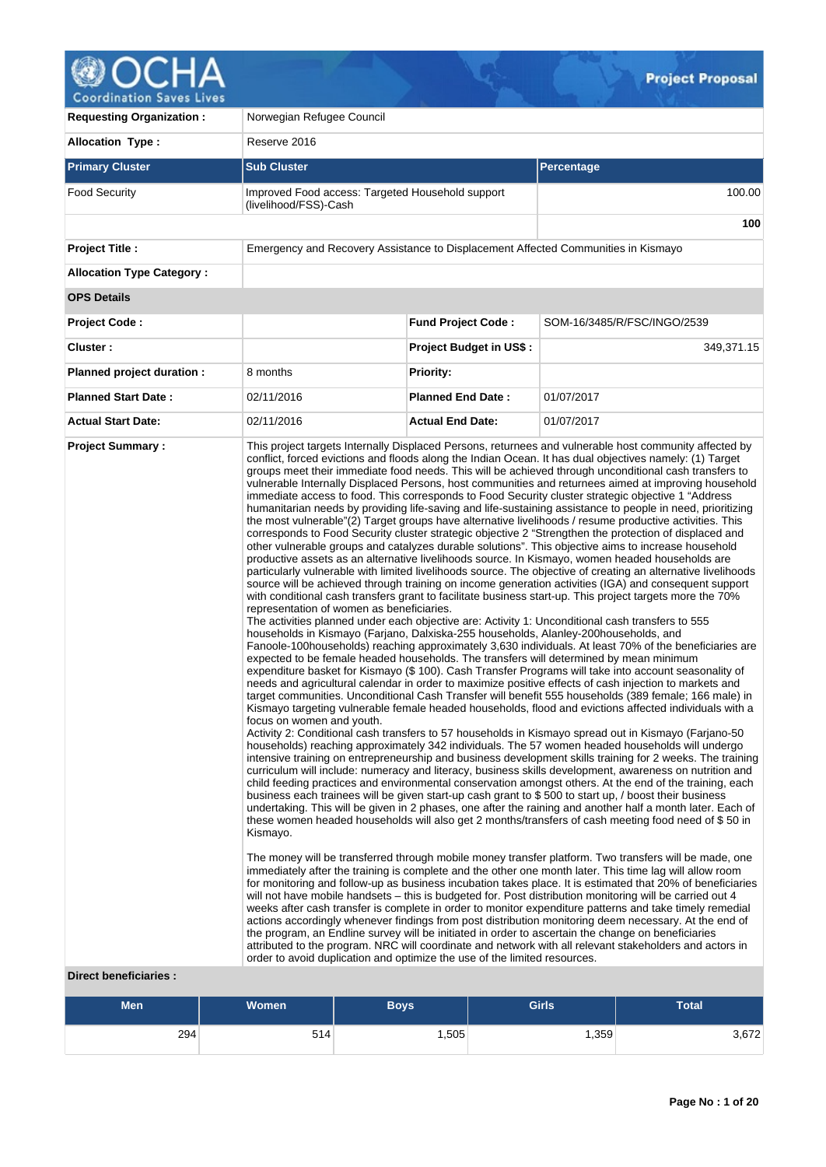

**Requesting Organization :** Norwegian Refugee Council **Allocation Type :** Reserve 2016 **Primary Cluster Sub Cluster Sub Cluster** Sub Cluster Sub Cluster Sub Cluster Sub Cluster Sub Cluster Sub Cluster Food Security **Improved Food access: Targeted Household support** (livelihood/FSS)-Cash 100.00 **100 Project Title :** Emergency and Recovery Assistance to Displacement Affected Communities in Kismayo **Allocation Type Category : OPS Details Project Code : Fund Project Code :** SOM-16/3485/R/FSC/INGO/2539 **Cluster : Project Budget in US\$ :** 349,371.15 **Planned project duration :** 8 months **Priority: Planned Start Date :** 02/11/2016 **Planned End Date :** 01/07/2017 **Actual Start Date:** 02/11/2016 **Actual End Date:** 01/07/2017 **Project Summary :** This project targets Internally Displaced Persons, returnees and vulnerable host community affected by conflict, forced evictions and floods along the Indian Ocean. It has dual objectives namely: (1) Target groups meet their immediate food needs. This will be achieved through unconditional cash transfers to vulnerable Internally Displaced Persons, host communities and returnees aimed at improving household immediate access to food. This corresponds to Food Security cluster strategic objective 1 "Address humanitarian needs by providing life-saving and life-sustaining assistance to people in need, prioritizing the most vulnerable"(2) Target groups have alternative livelihoods / resume productive activities. This corresponds to Food Security cluster strategic objective 2 "Strengthen the protection of displaced and other vulnerable groups and catalyzes durable solutions". This objective aims to increase household productive assets as an alternative livelihoods source. In Kismayo, women headed households are particularly vulnerable with limited livelihoods source. The objective of creating an alternative livelihoods source will be achieved through training on income generation activities (IGA) and consequent support with conditional cash transfers grant to facilitate business start-up. This project targets more the 70% representation of women as beneficiaries. The activities planned under each objective are: Activity 1: Unconditional cash transfers to 555 households in Kismayo (Farjano, Dalxiska-255 households, Alanley-200households, and Fanoole-100households) reaching approximately 3,630 individuals. At least 70% of the beneficiaries are expected to be female headed households. The transfers will determined by mean minimum expenditure basket for Kismayo (\$ 100). Cash Transfer Programs will take into account seasonality of needs and agricultural calendar in order to maximize positive effects of cash injection to markets and target communities. Unconditional Cash Transfer will benefit 555 households (389 female; 166 male) in Kismayo targeting vulnerable female headed households, flood and evictions affected individuals with a focus on women and youth. Activity 2: Conditional cash transfers to 57 households in Kismayo spread out in Kismayo (Farjano-50 households) reaching approximately 342 individuals. The 57 women headed households will undergo intensive training on entrepreneurship and business development skills training for 2 weeks. The training curriculum will include: numeracy and literacy, business skills development, awareness on nutrition and child feeding practices and environmental conservation amongst others. At the end of the training, each business each trainees will be given start-up cash grant to \$ 500 to start up, / boost their business undertaking. This will be given in 2 phases, one after the raining and another half a month later. Each of these women headed households will also get 2 months/transfers of cash meeting food need of \$ 50 in Kismayo. The money will be transferred through mobile money transfer platform. Two transfers will be made, one immediately after the training is complete and the other one month later. This time lag will allow room for monitoring and follow-up as business incubation takes place. It is estimated that 20% of beneficiaries will not have mobile handsets – this is budgeted for. Post distribution monitoring will be carried out 4 weeks after cash transfer is complete in order to monitor expenditure patterns and take timely remedial actions accordingly whenever findings from post distribution monitoring deem necessary. At the end of the program, an Endline survey will be initiated in order to ascertain the change on beneficiaries attributed to the program. NRC will coordinate and network with all relevant stakeholders and actors in order to avoid duplication and optimize the use of the limited resources.

## **Direct beneficiaries :**

| Men | <b>Women</b> | Boys' | <b>Girls</b> | <b>Total</b> |
|-----|--------------|-------|--------------|--------------|
| 294 | 514          | ,505  | .359         | 3,672        |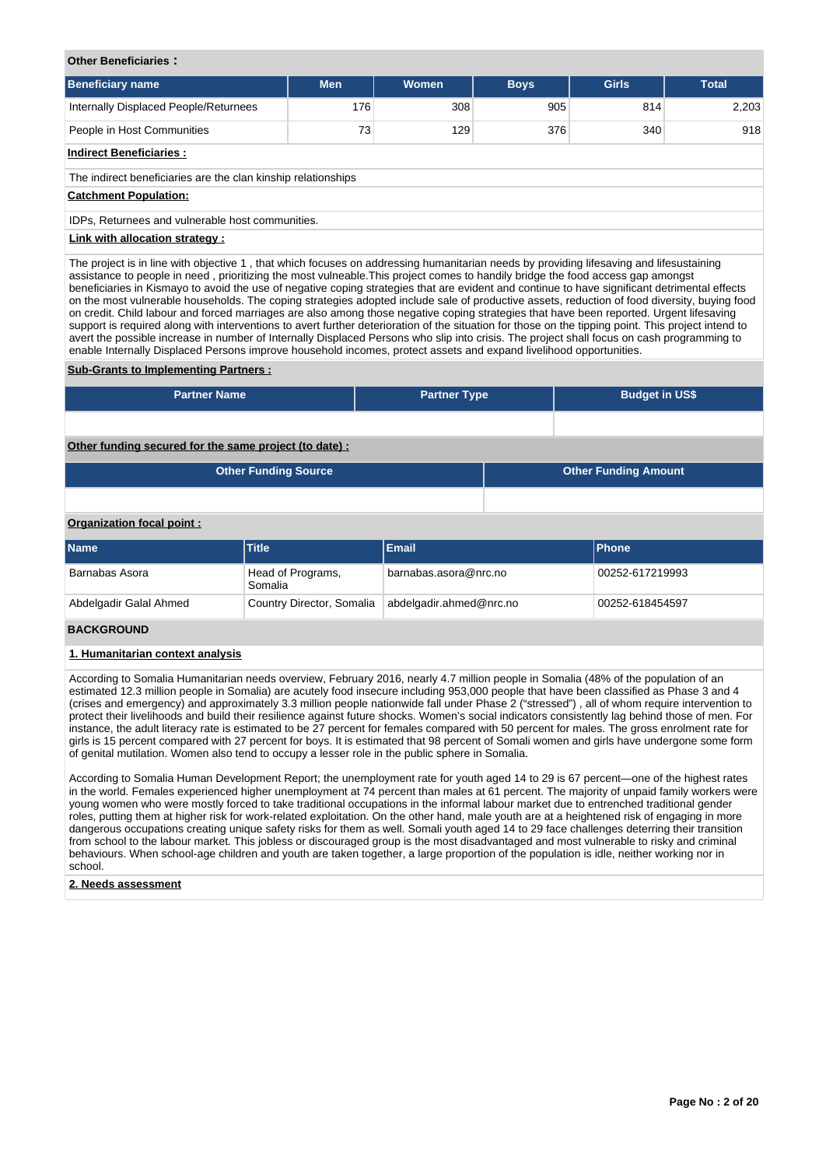### **Other Beneficiaries :**

| <b>Beneficiary name</b>                                       | <b>Men</b> | Women | <b>Boys</b> | <b>Girls</b> | <b>Total</b> |  |  |  |  |  |  |  |
|---------------------------------------------------------------|------------|-------|-------------|--------------|--------------|--|--|--|--|--|--|--|
| Internally Displaced People/Returnees                         | 176        | 308   | 905         | 814          | 2,203        |  |  |  |  |  |  |  |
| People in Host Communities                                    | 73         | 129   | 376         | 340          | 918          |  |  |  |  |  |  |  |
| <b>Indirect Beneficiaries:</b>                                |            |       |             |              |              |  |  |  |  |  |  |  |
| The indirect beneficiaries are the clan kinship relationships |            |       |             |              |              |  |  |  |  |  |  |  |
| <b>Catchment Population:</b>                                  |            |       |             |              |              |  |  |  |  |  |  |  |
| IDPs, Returnees and vulnerable host communities.              |            |       |             |              |              |  |  |  |  |  |  |  |
| Link with allocation strategy:                                |            |       |             |              |              |  |  |  |  |  |  |  |

The project is in line with objective 1 , that which focuses on addressing humanitarian needs by providing lifesaving and lifesustaining assistance to people in need , prioritizing the most vulneable.This project comes to handily bridge the food access gap amongst beneficiaries in Kismayo to avoid the use of negative coping strategies that are evident and continue to have significant detrimental effects on the most vulnerable households. The coping strategies adopted include sale of productive assets, reduction of food diversity, buying food on credit. Child labour and forced marriages are also among those negative coping strategies that have been reported. Urgent lifesaving support is required along with interventions to avert further deterioration of the situation for those on the tipping point. This project intend to avert the possible increase in number of Internally Displaced Persons who slip into crisis. The project shall focus on cash programming to enable Internally Displaced Persons improve household incomes, protect assets and expand livelihood opportunities.

## **Sub-Grants to Implementing Partners :**

| <b>Partner Name</b>                                   | <b>Partner Type</b> | <b>Budget in US\$</b>       |
|-------------------------------------------------------|---------------------|-----------------------------|
|                                                       |                     |                             |
| Other funding secured for the same project (to date): |                     |                             |
| <b>Other Funding Source</b>                           |                     | <b>Other Funding Amount</b> |

## **Organization focal point :**

| <b>Name</b>            | <b>Title</b>                 | Email                   | <b>IPhone</b>   |
|------------------------|------------------------------|-------------------------|-----------------|
| Barnabas Asora         | Head of Programs,<br>Somalia | barnabas.asora@nrc.no   | 00252-617219993 |
| Abdelgadir Galal Ahmed | Country Director, Somalia    | abdelgadir.ahmed@nrc.no | 00252-618454597 |
|                        |                              |                         |                 |

## **BACKGROUND**

## **1. Humanitarian context analysis**

According to Somalia Humanitarian needs overview, February 2016, nearly 4.7 million people in Somalia (48% of the population of an estimated 12.3 million people in Somalia) are acutely food insecure including 953,000 people that have been classified as Phase 3 and 4 (crises and emergency) and approximately 3.3 million people nationwide fall under Phase 2 ("stressed") , all of whom require intervention to protect their livelihoods and build their resilience against future shocks. Women's social indicators consistently lag behind those of men. For instance, the adult literacy rate is estimated to be 27 percent for females compared with 50 percent for males. The gross enrolment rate for girls is 15 percent compared with 27 percent for boys. It is estimated that 98 percent of Somali women and girls have undergone some form of genital mutilation. Women also tend to occupy a lesser role in the public sphere in Somalia.

According to Somalia Human Development Report; the unemployment rate for youth aged 14 to 29 is 67 percent—one of the highest rates in the world. Females experienced higher unemployment at 74 percent than males at 61 percent. The majority of unpaid family workers were young women who were mostly forced to take traditional occupations in the informal labour market due to entrenched traditional gender roles, putting them at higher risk for work-related exploitation. On the other hand, male youth are at a heightened risk of engaging in more dangerous occupations creating unique safety risks for them as well. Somali youth aged 14 to 29 face challenges deterring their transition from school to the labour market. This jobless or discouraged group is the most disadvantaged and most vulnerable to risky and criminal behaviours. When school-age children and youth are taken together, a large proportion of the population is idle, neither working nor in school.

## **2. Needs assessment**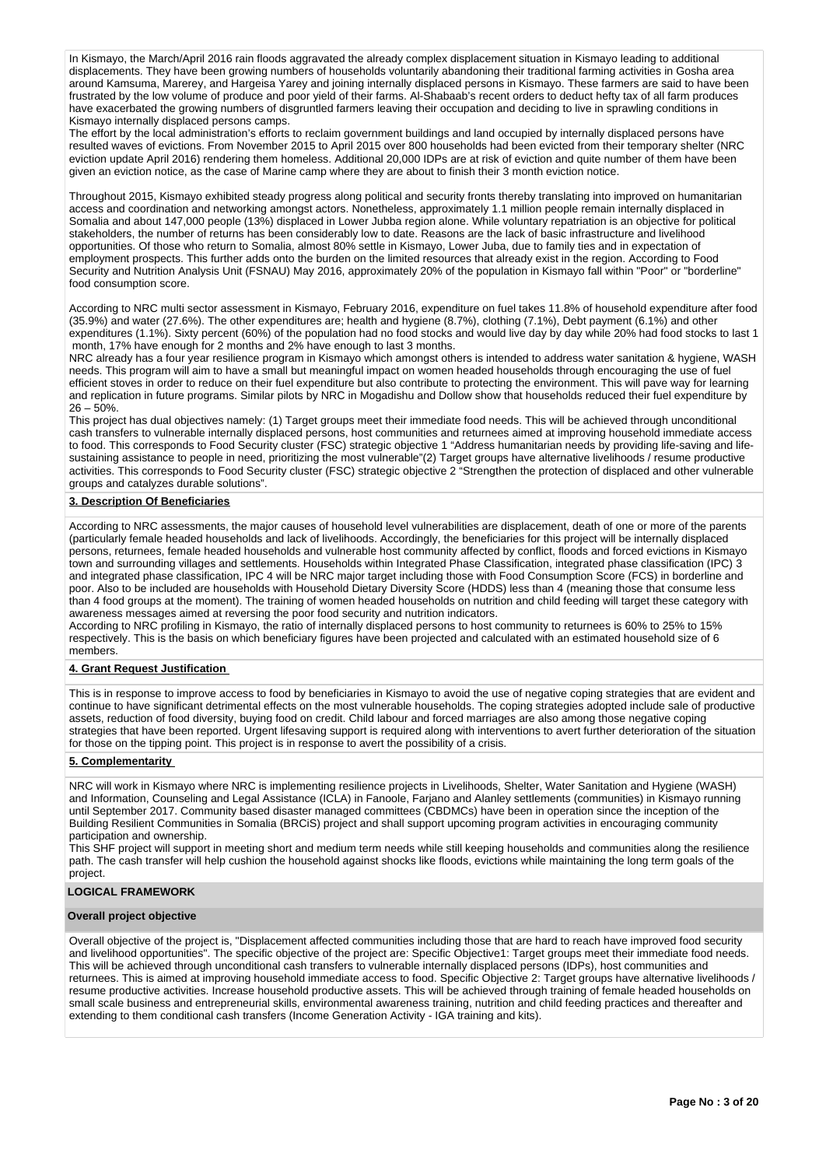In Kismayo, the March/April 2016 rain floods aggravated the already complex displacement situation in Kismayo leading to additional displacements. They have been growing numbers of households voluntarily abandoning their traditional farming activities in Gosha area around Kamsuma, Marerey, and Hargeisa Yarey and joining internally displaced persons in Kismayo. These farmers are said to have been frustrated by the low volume of produce and poor yield of their farms. Al-Shabaab's recent orders to deduct hefty tax of all farm produces have exacerbated the growing numbers of disgruntled farmers leaving their occupation and deciding to live in sprawling conditions in Kismayo internally displaced persons camps.

The effort by the local administration's efforts to reclaim government buildings and land occupied by internally displaced persons have resulted waves of evictions. From November 2015 to April 2015 over 800 households had been evicted from their temporary shelter (NRC eviction update April 2016) rendering them homeless. Additional 20,000 IDPs are at risk of eviction and quite number of them have been given an eviction notice, as the case of Marine camp where they are about to finish their 3 month eviction notice.

Throughout 2015, Kismayo exhibited steady progress along political and security fronts thereby translating into improved on humanitarian access and coordination and networking amongst actors. Nonetheless, approximately 1.1 million people remain internally displaced in Somalia and about 147,000 people (13%) displaced in Lower Jubba region alone. While voluntary repatriation is an objective for political stakeholders, the number of returns has been considerably low to date. Reasons are the lack of basic infrastructure and livelihood opportunities. Of those who return to Somalia, almost 80% settle in Kismayo, Lower Juba, due to family ties and in expectation of employment prospects. This further adds onto the burden on the limited resources that already exist in the region. According to Food Security and Nutrition Analysis Unit (FSNAU) May 2016, approximately 20% of the population in Kismayo fall within "Poor" or "borderline" food consumption score.

According to NRC multi sector assessment in Kismayo, February 2016, expenditure on fuel takes 11.8% of household expenditure after food (35.9%) and water (27.6%). The other expenditures are; health and hygiene (8.7%), clothing (7.1%), Debt payment (6.1%) and other expenditures (1.1%). Sixty percent (60%) of the population had no food stocks and would live day by day while 20% had food stocks to last 1 month, 17% have enough for 2 months and 2% have enough to last 3 months.

NRC already has a four year resilience program in Kismayo which amongst others is intended to address water sanitation & hygiene, WASH needs. This program will aim to have a small but meaningful impact on women headed households through encouraging the use of fuel efficient stoves in order to reduce on their fuel expenditure but also contribute to protecting the environment. This will pave way for learning and replication in future programs. Similar pilots by NRC in Mogadishu and Dollow show that households reduced their fuel expenditure by  $26 - 50%$ 

This project has dual objectives namely: (1) Target groups meet their immediate food needs. This will be achieved through unconditional cash transfers to vulnerable internally displaced persons, host communities and returnees aimed at improving household immediate access to food. This corresponds to Food Security cluster (FSC) strategic objective 1 "Address humanitarian needs by providing life-saving and lifesustaining assistance to people in need, prioritizing the most vulnerable"(2) Target groups have alternative livelihoods / resume productive activities. This corresponds to Food Security cluster (FSC) strategic objective 2 "Strengthen the protection of displaced and other vulnerable groups and catalyzes durable solutions".

## **3. Description Of Beneficiaries**

According to NRC assessments, the major causes of household level vulnerabilities are displacement, death of one or more of the parents (particularly female headed households and lack of livelihoods. Accordingly, the beneficiaries for this project will be internally displaced persons, returnees, female headed households and vulnerable host community affected by conflict, floods and forced evictions in Kismayo town and surrounding villages and settlements. Households within Integrated Phase Classification, integrated phase classification (IPC) 3 and integrated phase classification, IPC 4 will be NRC major target including those with Food Consumption Score (FCS) in borderline and poor. Also to be included are households with Household Dietary Diversity Score (HDDS) less than 4 (meaning those that consume less than 4 food groups at the moment). The training of women headed households on nutrition and child feeding will target these category with awareness messages aimed at reversing the poor food security and nutrition indicators.

According to NRC profiling in Kismayo, the ratio of internally displaced persons to host community to returnees is 60% to 25% to 15% respectively. This is the basis on which beneficiary figures have been projected and calculated with an estimated household size of 6 members.

## **4. Grant Request Justification**

This is in response to improve access to food by beneficiaries in Kismayo to avoid the use of negative coping strategies that are evident and continue to have significant detrimental effects on the most vulnerable households. The coping strategies adopted include sale of productive assets, reduction of food diversity, buying food on credit. Child labour and forced marriages are also among those negative coping strategies that have been reported. Urgent lifesaving support is required along with interventions to avert further deterioration of the situation for those on the tipping point. This project is in response to avert the possibility of a crisis.

## **5. Complementarity**

NRC will work in Kismayo where NRC is implementing resilience projects in Livelihoods, Shelter, Water Sanitation and Hygiene (WASH) and Information, Counseling and Legal Assistance (ICLA) in Fanoole, Farjano and Alanley settlements (communities) in Kismayo running until September 2017. Community based disaster managed committees (CBDMCs) have been in operation since the inception of the Building Resilient Communities in Somalia (BRCiS) project and shall support upcoming program activities in encouraging community participation and ownership.

This SHF project will support in meeting short and medium term needs while still keeping households and communities along the resilience path. The cash transfer will help cushion the household against shocks like floods, evictions while maintaining the long term goals of the project.

## **LOGICAL FRAMEWORK**

### **Overall project objective**

Overall objective of the project is, "Displacement affected communities including those that are hard to reach have improved food security and livelihood opportunities". The specific objective of the project are: Specific Objective1: Target groups meet their immediate food needs. This will be achieved through unconditional cash transfers to vulnerable internally displaced persons (IDPs), host communities and returnees. This is aimed at improving household immediate access to food. Specific Objective 2: Target groups have alternative livelihoods / resume productive activities. Increase household productive assets. This will be achieved through training of female headed households on small scale business and entrepreneurial skills, environmental awareness training, nutrition and child feeding practices and thereafter and extending to them conditional cash transfers (Income Generation Activity - IGA training and kits).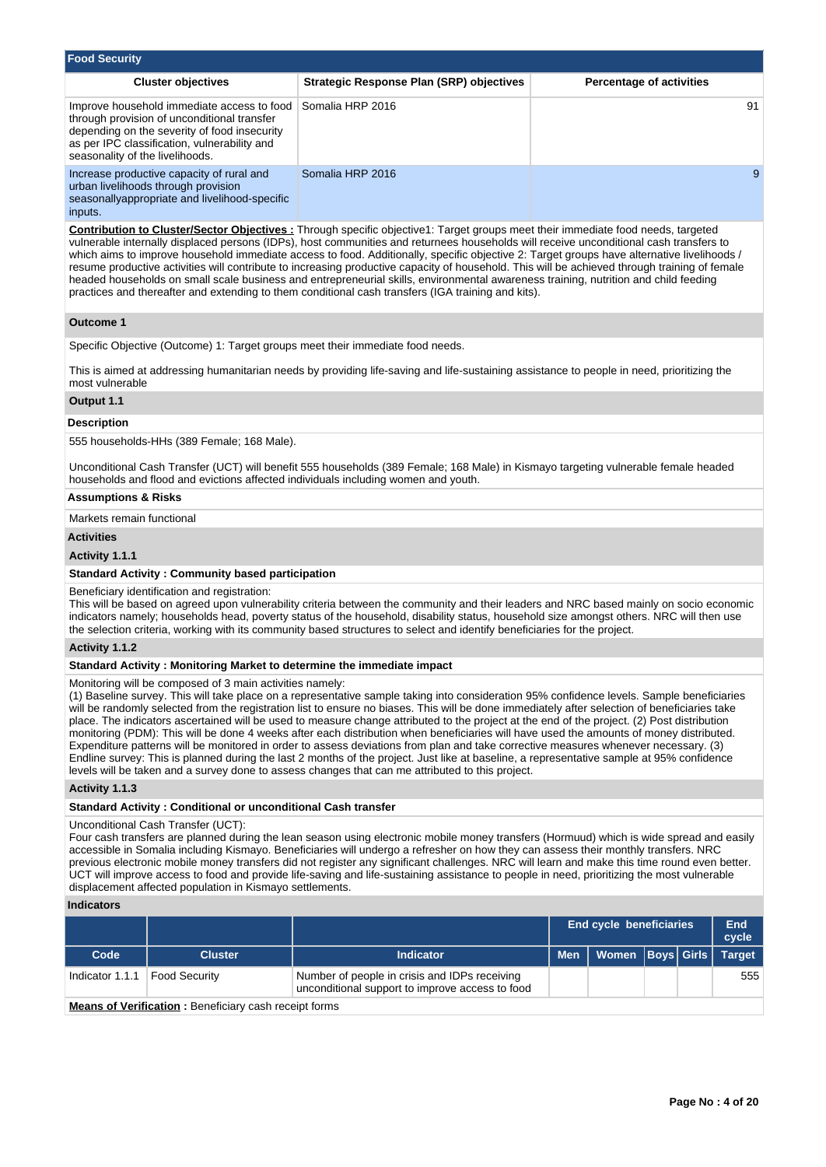| <b>Food Security</b>                                                                                                                                                                                                         |                                          |                                 |
|------------------------------------------------------------------------------------------------------------------------------------------------------------------------------------------------------------------------------|------------------------------------------|---------------------------------|
| <b>Cluster objectives</b>                                                                                                                                                                                                    | Strategic Response Plan (SRP) objectives | <b>Percentage of activities</b> |
| Improve household immediate access to food<br>through provision of unconditional transfer<br>depending on the severity of food insecurity<br>as per IPC classification, vulnerability and<br>seasonality of the livelihoods. | Somalia HRP 2016                         | 91                              |
| Increase productive capacity of rural and<br>urban livelihoods through provision<br>seasonallyappropriate and livelihood-specific<br>inputs.                                                                                 | Somalia HRP 2016                         | 9                               |

**Contribution to Cluster/Sector Objectives :** Through specific objective1: Target groups meet their immediate food needs, targeted vulnerable internally displaced persons (IDPs), host communities and returnees households will receive unconditional cash transfers to which aims to improve household immediate access to food. Additionally, specific objective 2: Target groups have alternative livelihoods / resume productive activities will contribute to increasing productive capacity of household. This will be achieved through training of female headed households on small scale business and entrepreneurial skills, environmental awareness training, nutrition and child feeding practices and thereafter and extending to them conditional cash transfers (IGA training and kits).

## **Outcome 1**

Specific Objective (Outcome) 1: Target groups meet their immediate food needs.

This is aimed at addressing humanitarian needs by providing life-saving and life-sustaining assistance to people in need, prioritizing the most vulnerable

## **Output 1.1**

### **Description**

555 households-HHs (389 Female; 168 Male).

Unconditional Cash Transfer (UCT) will benefit 555 households (389 Female; 168 Male) in Kismayo targeting vulnerable female headed households and flood and evictions affected individuals including women and youth.

## **Assumptions & Risks**

Markets remain functional

## **Activities**

## **Activity 1.1.1**

### **Standard Activity : Community based participation**

Beneficiary identification and registration:

This will be based on agreed upon vulnerability criteria between the community and their leaders and NRC based mainly on socio economic indicators namely; households head, poverty status of the household, disability status, household size amongst others. NRC will then use the selection criteria, working with its community based structures to select and identify beneficiaries for the project.

## **Activity 1.1.2**

#### **Standard Activity : Monitoring Market to determine the immediate impact**

Monitoring will be composed of 3 main activities namely:

(1) Baseline survey. This will take place on a representative sample taking into consideration 95% confidence levels. Sample beneficiaries will be randomly selected from the registration list to ensure no biases. This will be done immediately after selection of beneficiaries take place. The indicators ascertained will be used to measure change attributed to the project at the end of the project. (2) Post distribution monitoring (PDM): This will be done 4 weeks after each distribution when beneficiaries will have used the amounts of money distributed. Expenditure patterns will be monitored in order to assess deviations from plan and take corrective measures whenever necessary. (3) Endline survey: This is planned during the last 2 months of the project. Just like at baseline, a representative sample at 95% confidence levels will be taken and a survey done to assess changes that can me attributed to this project.

**Activity 1.1.3** 

## **Standard Activity : Conditional or unconditional Cash transfer**

### Unconditional Cash Transfer (UCT):

Four cash transfers are planned during the lean season using electronic mobile money transfers (Hormuud) which is wide spread and easily accessible in Somalia including Kismayo. Beneficiaries will undergo a refresher on how they can assess their monthly transfers. NRC previous electronic mobile money transfers did not register any significant challenges. NRC will learn and make this time round even better. UCT will improve access to food and provide life-saving and life-sustaining assistance to people in need, prioritizing the most vulnerable displacement affected population in Kismayo settlements.

#### **Indicators**

|                 |                                                             | <b>End cycle beneficiaries</b>                                                                   |  |                                     |  | End<br>cycle |
|-----------------|-------------------------------------------------------------|--------------------------------------------------------------------------------------------------|--|-------------------------------------|--|--------------|
| Code            | <b>Cluster</b>                                              | <b>Indicator</b>                                                                                 |  | Men   Women   Boys   Girls   Target |  |              |
| Indicator 1.1.1 | <b>Food Security</b>                                        | Number of people in crisis and IDPs receiving<br>unconditional support to improve access to food |  |                                     |  | 555          |
|                 | <b>Advisory of Mentherstein Development and the formula</b> |                                                                                                  |  |                                     |  |              |

**Means of Verification :** Beneficiary cash receipt forms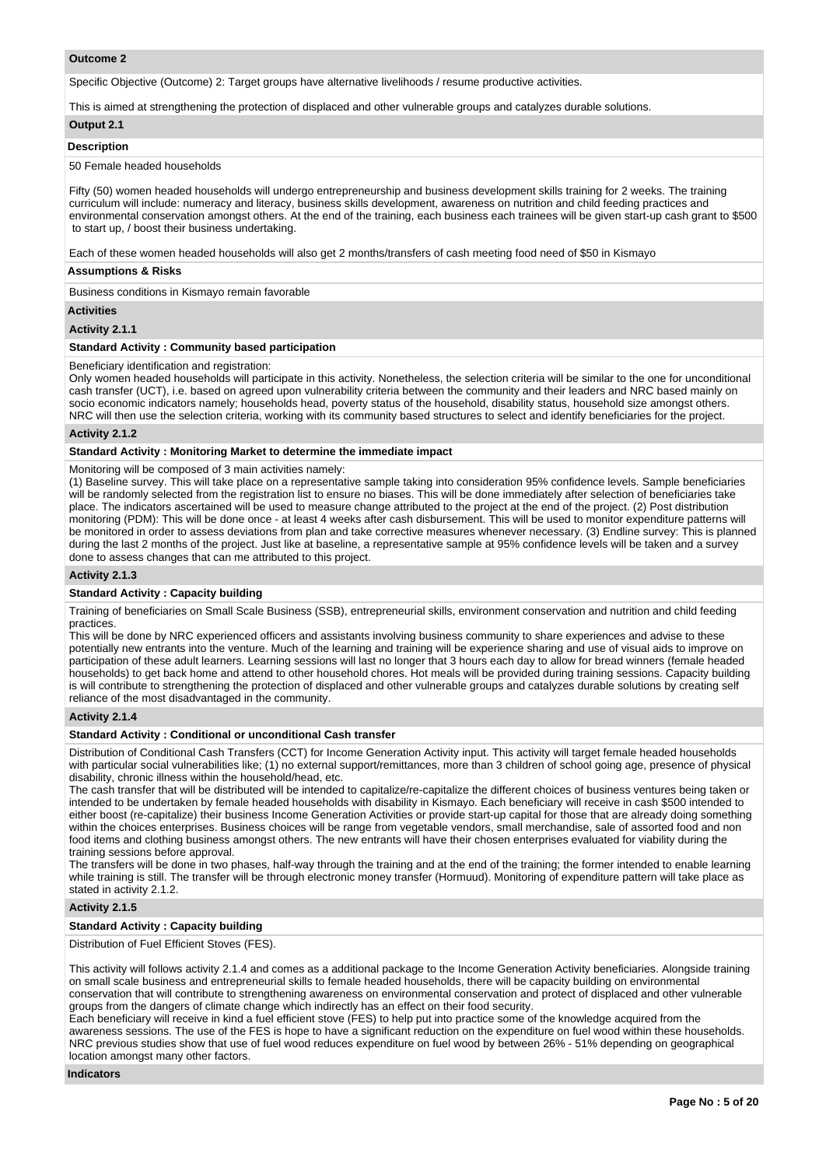## **Outcome 2**

Specific Objective (Outcome) 2: Target groups have alternative livelihoods / resume productive activities.

This is aimed at strengthening the protection of displaced and other vulnerable groups and catalyzes durable solutions.

## **Output 2.1**

### **Description**

#### 50 Female headed households

Fifty (50) women headed households will undergo entrepreneurship and business development skills training for 2 weeks. The training curriculum will include: numeracy and literacy, business skills development, awareness on nutrition and child feeding practices and environmental conservation amongst others. At the end of the training, each business each trainees will be given start-up cash grant to \$500 to start up, / boost their business undertaking.

Each of these women headed households will also get 2 months/transfers of cash meeting food need of \$50 in Kismayo

### **Assumptions & Risks**

Business conditions in Kismayo remain favorable

#### **Activities**

## **Activity 2.1.1**

## **Standard Activity : Community based participation**

### Beneficiary identification and registration:

Only women headed households will participate in this activity. Nonetheless, the selection criteria will be similar to the one for unconditional cash transfer (UCT), i.e. based on agreed upon vulnerability criteria between the community and their leaders and NRC based mainly on socio economic indicators namely; households head, poverty status of the household, disability status, household size amongst others. NRC will then use the selection criteria, working with its community based structures to select and identify beneficiaries for the project.

### **Activity 2.1.2**

## **Standard Activity : Monitoring Market to determine the immediate impact**

Monitoring will be composed of 3 main activities namely:

(1) Baseline survey. This will take place on a representative sample taking into consideration 95% confidence levels. Sample beneficiaries will be randomly selected from the registration list to ensure no biases. This will be done immediately after selection of beneficiaries take place. The indicators ascertained will be used to measure change attributed to the project at the end of the project. (2) Post distribution monitoring (PDM): This will be done once - at least 4 weeks after cash disbursement. This will be used to monitor expenditure patterns will be monitored in order to assess deviations from plan and take corrective measures whenever necessary. (3) Endline survey: This is planned during the last 2 months of the project. Just like at baseline, a representative sample at 95% confidence levels will be taken and a survey done to assess changes that can me attributed to this project.

## **Activity 2.1.3**

#### **Standard Activity : Capacity building**

Training of beneficiaries on Small Scale Business (SSB), entrepreneurial skills, environment conservation and nutrition and child feeding practices.

This will be done by NRC experienced officers and assistants involving business community to share experiences and advise to these potentially new entrants into the venture. Much of the learning and training will be experience sharing and use of visual aids to improve on participation of these adult learners. Learning sessions will last no longer that 3 hours each day to allow for bread winners (female headed households) to get back home and attend to other household chores. Hot meals will be provided during training sessions. Capacity building is will contribute to strengthening the protection of displaced and other vulnerable groups and catalyzes durable solutions by creating self reliance of the most disadvantaged in the community.

## **Activity 2.1.4**

## **Standard Activity : Conditional or unconditional Cash transfer**

Distribution of Conditional Cash Transfers (CCT) for Income Generation Activity input. This activity will target female headed households with particular social vulnerabilities like; (1) no external support/remittances, more than 3 children of school going age, presence of physical disability, chronic illness within the household/head, etc.

The cash transfer that will be distributed will be intended to capitalize/re-capitalize the different choices of business ventures being taken or intended to be undertaken by female headed households with disability in Kismayo. Each beneficiary will receive in cash \$500 intended to either boost (re-capitalize) their business Income Generation Activities or provide start-up capital for those that are already doing something within the choices enterprises. Business choices will be range from vegetable vendors, small merchandise, sale of assorted food and non food items and clothing business amongst others. The new entrants will have their chosen enterprises evaluated for viability during the training sessions before approval.

The transfers will be done in two phases, half-way through the training and at the end of the training; the former intended to enable learning while training is still. The transfer will be through electronic money transfer (Hormuud). Monitoring of expenditure pattern will take place as stated in activity 2.1.2.

## **Activity 2.1.5**

## **Standard Activity : Capacity building**

Distribution of Fuel Efficient Stoves (FES).

This activity will follows activity 2.1.4 and comes as a additional package to the Income Generation Activity beneficiaries. Alongside training on small scale business and entrepreneurial skills to female headed households, there will be capacity building on environmental conservation that will contribute to strengthening awareness on environmental conservation and protect of displaced and other vulnerable groups from the dangers of climate change which indirectly has an effect on their food security.

Each beneficiary will receive in kind a fuel efficient stove (FES) to help put into practice some of the knowledge acquired from the awareness sessions. The use of the FES is hope to have a significant reduction on the expenditure on fuel wood within these households. NRC previous studies show that use of fuel wood reduces expenditure on fuel wood by between 26% - 51% depending on geographical location amongst many other factors.

## **Indicators**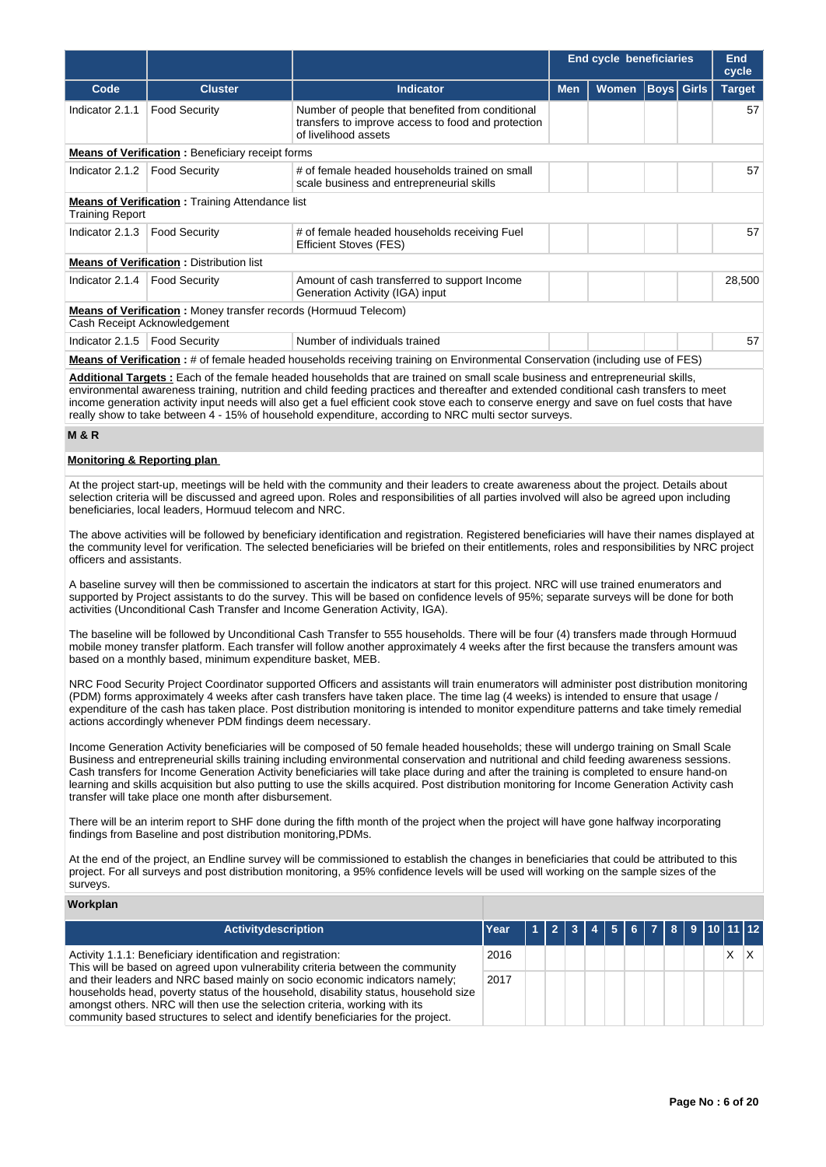|                   |                                                                                                        |                                                                                                                                | End cycle beneficiaries |              | End<br>cycle |                   |               |  |  |
|-------------------|--------------------------------------------------------------------------------------------------------|--------------------------------------------------------------------------------------------------------------------------------|-------------------------|--------------|--------------|-------------------|---------------|--|--|
| Code              | <b>Cluster</b>                                                                                         | <b>Indicator</b>                                                                                                               | <b>Men</b>              | <b>Women</b> |              | <b>Boys</b> Girls | <b>Target</b> |  |  |
| Indicator 2.1.1   | <b>Food Security</b>                                                                                   | Number of people that benefited from conditional<br>transfers to improve access to food and protection<br>of livelihood assets |                         |              |              |                   | 57            |  |  |
|                   | <b>Means of Verification:</b> Beneficiary receipt forms                                                |                                                                                                                                |                         |              |              |                   |               |  |  |
| Indicator 2.1.2   | <b>Food Security</b>                                                                                   | # of female headed households trained on small<br>scale business and entrepreneurial skills                                    |                         |              |              |                   |               |  |  |
| Training Report   | <b>Means of Verification:</b> Training Attendance list                                                 |                                                                                                                                |                         |              |              |                   |               |  |  |
| Indicator 2.1.3   | <b>Food Security</b>                                                                                   | # of female headed households receiving Fuel<br><b>Efficient Stoves (FES)</b>                                                  |                         |              |              |                   | 57            |  |  |
|                   | <b>Means of Verification: Distribution list</b>                                                        |                                                                                                                                |                         |              |              |                   |               |  |  |
| Indicator 2.1.4   | <b>Food Security</b>                                                                                   | Amount of cash transferred to support Income<br>Generation Activity (IGA) input                                                |                         |              |              |                   | 28,500        |  |  |
|                   | <b>Means of Verification:</b> Money transfer records (Hormuud Telecom)<br>Cash Receipt Acknowledgement |                                                                                                                                |                         |              |              |                   |               |  |  |
| Indicator $2.1.5$ | <b>Food Security</b>                                                                                   | Number of individuals trained                                                                                                  |                         |              |              |                   | 57            |  |  |
|                   |                                                                                                        | Means of Verification: # of female headed households receiving training on Environmental Conservation (including use of FES)   |                         |              |              |                   |               |  |  |

**Additional Targets :** Each of the female headed households that are trained on small scale business and entrepreneurial skills,

environmental awareness training, nutrition and child feeding practices and thereafter and extended conditional cash transfers to meet income generation activity input needs will also get a fuel efficient cook stove each to conserve energy and save on fuel costs that have really show to take between 4 - 15% of household expenditure, according to NRC multi sector surveys.

## **M & R**

## **Monitoring & Reporting plan**

At the project start-up, meetings will be held with the community and their leaders to create awareness about the project. Details about selection criteria will be discussed and agreed upon. Roles and responsibilities of all parties involved will also be agreed upon including beneficiaries, local leaders, Hormuud telecom and NRC.

The above activities will be followed by beneficiary identification and registration. Registered beneficiaries will have their names displayed at the community level for verification. The selected beneficiaries will be briefed on their entitlements, roles and responsibilities by NRC project officers and assistants.

A baseline survey will then be commissioned to ascertain the indicators at start for this project. NRC will use trained enumerators and supported by Project assistants to do the survey. This will be based on confidence levels of 95%; separate surveys will be done for both activities (Unconditional Cash Transfer and Income Generation Activity, IGA).

The baseline will be followed by Unconditional Cash Transfer to 555 households. There will be four (4) transfers made through Hormuud mobile money transfer platform. Each transfer will follow another approximately 4 weeks after the first because the transfers amount was based on a monthly based, minimum expenditure basket, MEB.

NRC Food Security Project Coordinator supported Officers and assistants will train enumerators will administer post distribution monitoring (PDM) forms approximately 4 weeks after cash transfers have taken place. The time lag (4 weeks) is intended to ensure that usage / expenditure of the cash has taken place. Post distribution monitoring is intended to monitor expenditure patterns and take timely remedial actions accordingly whenever PDM findings deem necessary.

Income Generation Activity beneficiaries will be composed of 50 female headed households; these will undergo training on Small Scale Business and entrepreneurial skills training including environmental conservation and nutritional and child feeding awareness sessions. Cash transfers for Income Generation Activity beneficiaries will take place during and after the training is completed to ensure hand-on learning and skills acquisition but also putting to use the skills acquired. Post distribution monitoring for Income Generation Activity cash transfer will take place one month after disbursement.

There will be an interim report to SHF done during the fifth month of the project when the project will have gone halfway incorporating findings from Baseline and post distribution monitoring,PDMs.

At the end of the project, an Endline survey will be commissioned to establish the changes in beneficiaries that could be attributed to this project. For all surveys and post distribution monitoring, a 95% confidence levels will be used will working on the sample sizes of the surveys.

## **Workplan**

| <b>Activitydescription</b>                                                                                                                                                                                                                                                                                                                   | Year $123456789101112$ |  |  |  |  |  |   |  |
|----------------------------------------------------------------------------------------------------------------------------------------------------------------------------------------------------------------------------------------------------------------------------------------------------------------------------------------------|------------------------|--|--|--|--|--|---|--|
| Activity 1.1.1: Beneficiary identification and registration:<br>2016<br>This will be based on agreed upon vulnerability criteria between the community                                                                                                                                                                                       |                        |  |  |  |  |  | Χ |  |
| and their leaders and NRC based mainly on socio economic indicators namely;<br>2017<br>households head, poverty status of the household, disability status, household size<br>amongst others. NRC will then use the selection criteria, working with its<br>community based structures to select and identify beneficiaries for the project. |                        |  |  |  |  |  |   |  |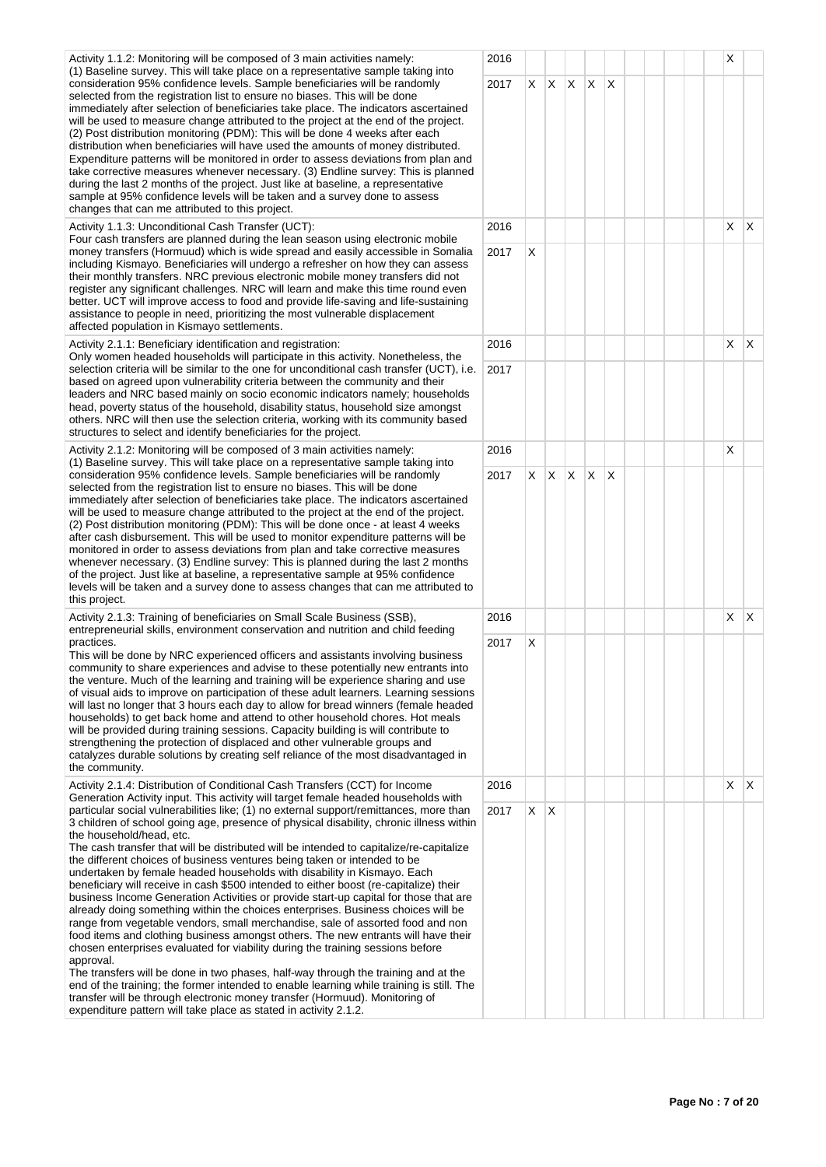| Activity 1.1.2: Monitoring will be composed of 3 main activities namely:<br>(1) Baseline survey. This will take place on a representative sample taking into                                                                                                                                                                                                                                                                                                                                                                                                                                                                                                                                                                                                                                                                                                                                                                                                                                                                                                                                                                                                                                                                                                                                                                                                                                                                                 | 2016 |    |    |    |    |   |  |  | X              |              |
|----------------------------------------------------------------------------------------------------------------------------------------------------------------------------------------------------------------------------------------------------------------------------------------------------------------------------------------------------------------------------------------------------------------------------------------------------------------------------------------------------------------------------------------------------------------------------------------------------------------------------------------------------------------------------------------------------------------------------------------------------------------------------------------------------------------------------------------------------------------------------------------------------------------------------------------------------------------------------------------------------------------------------------------------------------------------------------------------------------------------------------------------------------------------------------------------------------------------------------------------------------------------------------------------------------------------------------------------------------------------------------------------------------------------------------------------|------|----|----|----|----|---|--|--|----------------|--------------|
| consideration 95% confidence levels. Sample beneficiaries will be randomly<br>2017<br>selected from the registration list to ensure no biases. This will be done<br>immediately after selection of beneficiaries take place. The indicators ascertained<br>will be used to measure change attributed to the project at the end of the project.<br>(2) Post distribution monitoring (PDM): This will be done 4 weeks after each<br>distribution when beneficiaries will have used the amounts of money distributed.<br>Expenditure patterns will be monitored in order to assess deviations from plan and<br>take corrective measures whenever necessary. (3) Endline survey: This is planned<br>during the last 2 months of the project. Just like at baseline, a representative<br>sample at 95% confidence levels will be taken and a survey done to assess<br>changes that can me attributed to this project.                                                                                                                                                                                                                                                                                                                                                                                                                                                                                                                             |      | X. | X. | X. | X  | X |  |  |                |              |
| Activity 1.1.3: Unconditional Cash Transfer (UCT):<br>Four cash transfers are planned during the lean season using electronic mobile                                                                                                                                                                                                                                                                                                                                                                                                                                                                                                                                                                                                                                                                                                                                                                                                                                                                                                                                                                                                                                                                                                                                                                                                                                                                                                         | 2016 |    |    |    |    |   |  |  | $x \mid x$     |              |
| money transfers (Hormuud) which is wide spread and easily accessible in Somalia<br>2017<br>including Kismayo. Beneficiaries will undergo a refresher on how they can assess<br>their monthly transfers. NRC previous electronic mobile money transfers did not<br>register any significant challenges. NRC will learn and make this time round even<br>better. UCT will improve access to food and provide life-saving and life-sustaining<br>assistance to people in need, prioritizing the most vulnerable displacement<br>affected population in Kismayo settlements.<br>Activity 2.1.1: Beneficiary identification and registration:<br>Only women headed households will participate in this activity. Nonetheless, the                                                                                                                                                                                                                                                                                                                                                                                                                                                                                                                                                                                                                                                                                                                 |      | X  |    |    |    |   |  |  |                |              |
|                                                                                                                                                                                                                                                                                                                                                                                                                                                                                                                                                                                                                                                                                                                                                                                                                                                                                                                                                                                                                                                                                                                                                                                                                                                                                                                                                                                                                                              | 2016 |    |    |    |    |   |  |  | $X$ $\mid$ $X$ |              |
| selection criteria will be similar to the one for unconditional cash transfer (UCT), i.e.<br>based on agreed upon vulnerability criteria between the community and their<br>leaders and NRC based mainly on socio economic indicators namely; households<br>head, poverty status of the household, disability status, household size amongst<br>others. NRC will then use the selection criteria, working with its community based<br>structures to select and identify beneficiaries for the project.<br>Activity 2.1.2: Monitoring will be composed of 3 main activities namely:                                                                                                                                                                                                                                                                                                                                                                                                                                                                                                                                                                                                                                                                                                                                                                                                                                                           | 2017 |    |    |    |    |   |  |  |                |              |
| (1) Baseline survey. This will take place on a representative sample taking into<br>2017                                                                                                                                                                                                                                                                                                                                                                                                                                                                                                                                                                                                                                                                                                                                                                                                                                                                                                                                                                                                                                                                                                                                                                                                                                                                                                                                                     | 2016 |    |    |    |    |   |  |  | х              |              |
| consideration 95% confidence levels. Sample beneficiaries will be randomly<br>selected from the registration list to ensure no biases. This will be done<br>immediately after selection of beneficiaries take place. The indicators ascertained<br>will be used to measure change attributed to the project at the end of the project.<br>(2) Post distribution monitoring (PDM): This will be done once - at least 4 weeks<br>after cash disbursement. This will be used to monitor expenditure patterns will be<br>monitored in order to assess deviations from plan and take corrective measures<br>whenever necessary. (3) Endline survey: This is planned during the last 2 months<br>of the project. Just like at baseline, a representative sample at 95% confidence<br>levels will be taken and a survey done to assess changes that can me attributed to                                                                                                                                                                                                                                                                                                                                                                                                                                                                                                                                                                            |      | X. | X. | X. | X. | X |  |  |                |              |
| Activity 2.1.3: Training of beneficiaries on Small Scale Business (SSB),                                                                                                                                                                                                                                                                                                                                                                                                                                                                                                                                                                                                                                                                                                                                                                                                                                                                                                                                                                                                                                                                                                                                                                                                                                                                                                                                                                     | 2016 |    |    |    |    |   |  |  | $X \mid X$     |              |
| entrepreneurial skills, environment conservation and nutrition and child feeding<br>practices.<br>2017<br>This will be done by NRC experienced officers and assistants involving business<br>community to share experiences and advise to these potentially new entrants into<br>the venture. Much of the learning and training will be experience sharing and use<br>of visual aids to improve on participation of these adult learners. Learning sessions<br>will last no longer that 3 hours each day to allow for bread winners (female headed<br>households) to get back home and attend to other household chores. Hot meals<br>will be provided during training sessions. Capacity building is will contribute to<br>strengthening the protection of displaced and other vulnerable groups and<br>catalyzes durable solutions by creating self reliance of the most disadvantaged in<br>the community.                                                                                                                                                                                                                                                                                                                                                                                                                                                                                                                                |      | X  |    |    |    |   |  |  |                |              |
| Activity 2.1.4: Distribution of Conditional Cash Transfers (CCT) for Income                                                                                                                                                                                                                                                                                                                                                                                                                                                                                                                                                                                                                                                                                                                                                                                                                                                                                                                                                                                                                                                                                                                                                                                                                                                                                                                                                                  | 2016 |    |    |    |    |   |  |  | X.             | $\mathsf{X}$ |
| Generation Activity input. This activity will target female headed households with<br>particular social vulnerabilities like; (1) no external support/remittances, more than<br>2017<br>3 children of school going age, presence of physical disability, chronic illness within<br>the household/head, etc.<br>The cash transfer that will be distributed will be intended to capitalize/re-capitalize<br>the different choices of business ventures being taken or intended to be<br>undertaken by female headed households with disability in Kismayo. Each<br>beneficiary will receive in cash \$500 intended to either boost (re-capitalize) their<br>business Income Generation Activities or provide start-up capital for those that are<br>already doing something within the choices enterprises. Business choices will be<br>range from vegetable vendors, small merchandise, sale of assorted food and non<br>food items and clothing business amongst others. The new entrants will have their<br>chosen enterprises evaluated for viability during the training sessions before<br>approval.<br>The transfers will be done in two phases, half-way through the training and at the<br>end of the training; the former intended to enable learning while training is still. The<br>transfer will be through electronic money transfer (Hormuud). Monitoring of<br>expenditure pattern will take place as stated in activity 2.1.2 |      | X. | X  |    |    |   |  |  |                |              |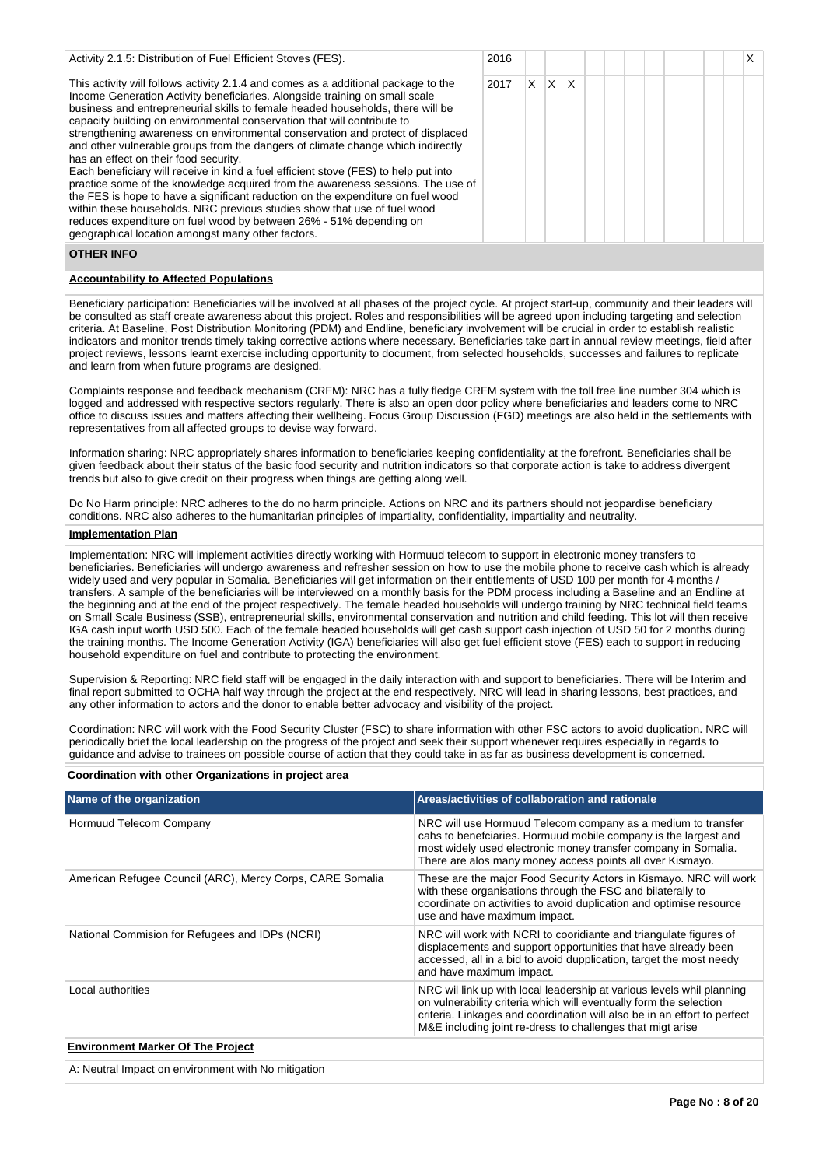| Activity 2.1.5: Distribution of Fuel Efficient Stoves (FES).                                                                                                                                                                                                                                                                                                                                                                                                                                                                                                                                                                                                                                                                                                                                                                                                                                                                                                                                                     | 2016 |    |          |              |  |  |  |  | X I |
|------------------------------------------------------------------------------------------------------------------------------------------------------------------------------------------------------------------------------------------------------------------------------------------------------------------------------------------------------------------------------------------------------------------------------------------------------------------------------------------------------------------------------------------------------------------------------------------------------------------------------------------------------------------------------------------------------------------------------------------------------------------------------------------------------------------------------------------------------------------------------------------------------------------------------------------------------------------------------------------------------------------|------|----|----------|--------------|--|--|--|--|-----|
| This activity will follows activity 2.1.4 and comes as a additional package to the<br>Income Generation Activity beneficiaries. Alongside training on small scale<br>business and entrepreneurial skills to female headed households, there will be<br>capacity building on environmental conservation that will contribute to<br>strengthening awareness on environmental conservation and protect of displaced<br>and other vulnerable groups from the dangers of climate change which indirectly<br>has an effect on their food security.<br>Each beneficiary will receive in kind a fuel efficient stove (FES) to help put into<br>practice some of the knowledge acquired from the awareness sessions. The use of<br>the FES is hope to have a significant reduction on the expenditure on fuel wood<br>within these households. NRC previous studies show that use of fuel wood<br>reduces expenditure on fuel wood by between 26% - 51% depending on<br>geographical location amongst many other factors. | 2017 | X. | <b>X</b> | $\mathsf{X}$ |  |  |  |  |     |
| <b>OTHER INFO</b>                                                                                                                                                                                                                                                                                                                                                                                                                                                                                                                                                                                                                                                                                                                                                                                                                                                                                                                                                                                                |      |    |          |              |  |  |  |  |     |

## **Accountability to Affected Populations**

Beneficiary participation: Beneficiaries will be involved at all phases of the project cycle. At project start-up, community and their leaders will be consulted as staff create awareness about this project. Roles and responsibilities will be agreed upon including targeting and selection criteria. At Baseline, Post Distribution Monitoring (PDM) and Endline, beneficiary involvement will be crucial in order to establish realistic indicators and monitor trends timely taking corrective actions where necessary. Beneficiaries take part in annual review meetings, field after project reviews, lessons learnt exercise including opportunity to document, from selected households, successes and failures to replicate and learn from when future programs are designed.

Complaints response and feedback mechanism (CRFM): NRC has a fully fledge CRFM system with the toll free line number 304 which is logged and addressed with respective sectors regularly. There is also an open door policy where beneficiaries and leaders come to NRC office to discuss issues and matters affecting their wellbeing. Focus Group Discussion (FGD) meetings are also held in the settlements with representatives from all affected groups to devise way forward.

Information sharing: NRC appropriately shares information to beneficiaries keeping confidentiality at the forefront. Beneficiaries shall be given feedback about their status of the basic food security and nutrition indicators so that corporate action is take to address divergent trends but also to give credit on their progress when things are getting along well.

Do No Harm principle: NRC adheres to the do no harm principle. Actions on NRC and its partners should not jeopardise beneficiary conditions. NRC also adheres to the humanitarian principles of impartiality, confidentiality, impartiality and neutrality.

## **Implementation Plan**

Implementation: NRC will implement activities directly working with Hormuud telecom to support in electronic money transfers to beneficiaries. Beneficiaries will undergo awareness and refresher session on how to use the mobile phone to receive cash which is already widely used and very popular in Somalia. Beneficiaries will get information on their entitlements of USD 100 per month for 4 months / transfers. A sample of the beneficiaries will be interviewed on a monthly basis for the PDM process including a Baseline and an Endline at the beginning and at the end of the project respectively. The female headed households will undergo training by NRC technical field teams on Small Scale Business (SSB), entrepreneurial skills, environmental conservation and nutrition and child feeding. This lot will then receive IGA cash input worth USD 500. Each of the female headed households will get cash support cash injection of USD 50 for 2 months during the training months. The Income Generation Activity (IGA) beneficiaries will also get fuel efficient stove (FES) each to support in reducing household expenditure on fuel and contribute to protecting the environment.

Supervision & Reporting: NRC field staff will be engaged in the daily interaction with and support to beneficiaries. There will be Interim and final report submitted to OCHA half way through the project at the end respectively. NRC will lead in sharing lessons, best practices, and any other information to actors and the donor to enable better advocacy and visibility of the project.

Coordination: NRC will work with the Food Security Cluster (FSC) to share information with other FSC actors to avoid duplication. NRC will periodically brief the local leadership on the progress of the project and seek their support whenever requires especially in regards to guidance and advise to trainees on possible course of action that they could take in as far as business development is concerned.

| Name of the organization                                  | Areas/activities of collaboration and rationale                                                                                                                                                                                                                                       |
|-----------------------------------------------------------|---------------------------------------------------------------------------------------------------------------------------------------------------------------------------------------------------------------------------------------------------------------------------------------|
| Hormuud Telecom Company                                   | NRC will use Hormuud Telecom company as a medium to transfer<br>cahs to benefciaries. Hormuud mobile company is the largest and<br>most widely used electronic money transfer company in Somalia.<br>There are alos many money access points all over Kismayo.                        |
| American Refugee Council (ARC), Mercy Corps, CARE Somalia | These are the major Food Security Actors in Kismayo. NRC will work<br>with these organisations through the FSC and bilaterally to<br>coordinate on activities to avoid duplication and optimise resource<br>use and have maximum impact.                                              |
| National Commision for Refugees and IDPs (NCRI)           | NRC will work with NCRI to cooridiante and triangulate figures of<br>displacements and support opportunities that have already been<br>accessed, all in a bid to avoid dupplication, target the most needy<br>and have maximum impact.                                                |
| Local authorities                                         | NRC wil link up with local leadership at various levels whil planning<br>on vulnerability criteria which will eventually form the selection<br>criteria. Linkages and coordination will also be in an effort to perfect<br>M&E including joint re-dress to challenges that migt arise |
| <b>Environment Marker Of The Project</b>                  |                                                                                                                                                                                                                                                                                       |
| A: Neutral Impact on environment with No mitigation       |                                                                                                                                                                                                                                                                                       |

## **Coordination with other Organizations in project area**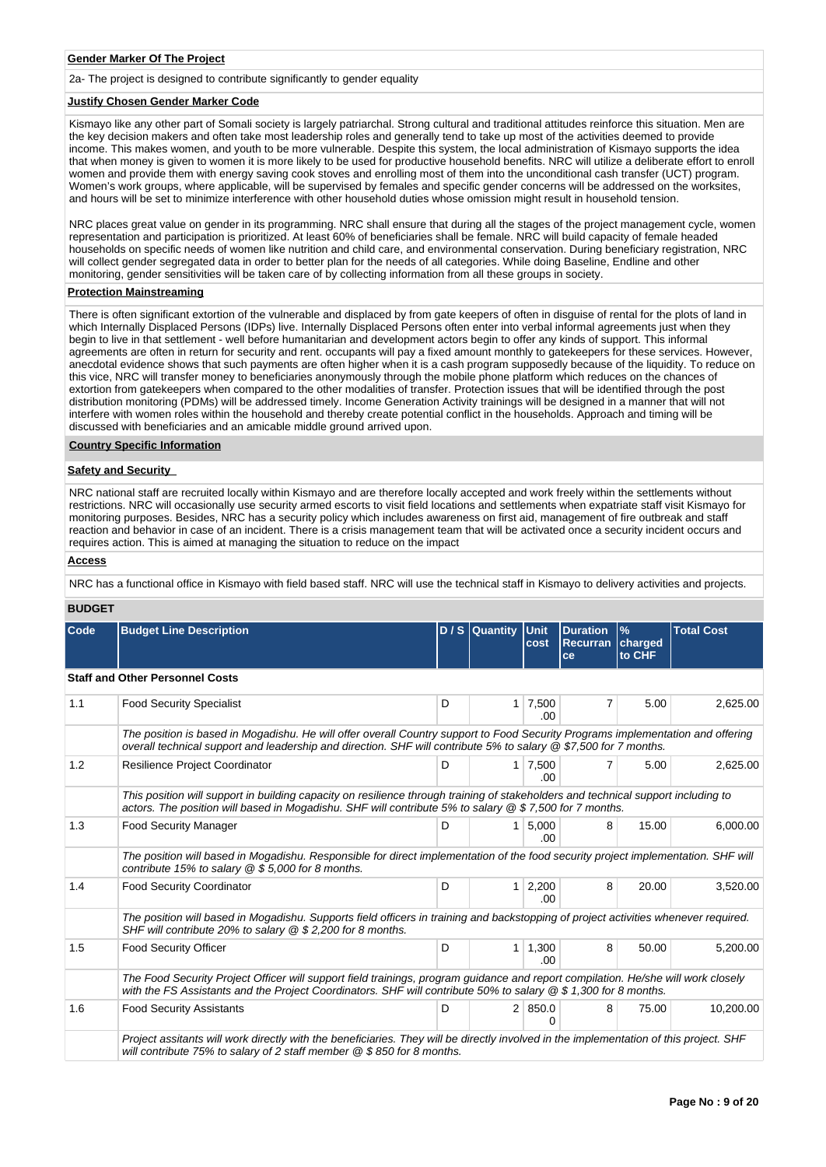### **Gender Marker Of The Project**

2a- The project is designed to contribute significantly to gender equality

### **Justify Chosen Gender Marker Code**

Kismayo like any other part of Somali society is largely patriarchal. Strong cultural and traditional attitudes reinforce this situation. Men are the key decision makers and often take most leadership roles and generally tend to take up most of the activities deemed to provide income. This makes women, and youth to be more vulnerable. Despite this system, the local administration of Kismayo supports the idea that when money is given to women it is more likely to be used for productive household benefits. NRC will utilize a deliberate effort to enroll women and provide them with energy saving cook stoves and enrolling most of them into the unconditional cash transfer (UCT) program. Women's work groups, where applicable, will be supervised by females and specific gender concerns will be addressed on the worksites, and hours will be set to minimize interference with other household duties whose omission might result in household tension.

NRC places great value on gender in its programming. NRC shall ensure that during all the stages of the project management cycle, women representation and participation is prioritized. At least 60% of beneficiaries shall be female. NRC will build capacity of female headed households on specific needs of women like nutrition and child care, and environmental conservation. During beneficiary registration, NRC will collect gender segregated data in order to better plan for the needs of all categories. While doing Baseline, Endline and other monitoring, gender sensitivities will be taken care of by collecting information from all these groups in society.

### **Protection Mainstreaming**

There is often significant extortion of the vulnerable and displaced by from gate keepers of often in disguise of rental for the plots of land in which Internally Displaced Persons (IDPs) live. Internally Displaced Persons often enter into verbal informal agreements just when they begin to live in that settlement - well before humanitarian and development actors begin to offer any kinds of support. This informal agreements are often in return for security and rent. occupants will pay a fixed amount monthly to gatekeepers for these services. However, anecdotal evidence shows that such payments are often higher when it is a cash program supposedly because of the liquidity. To reduce on this vice, NRC will transfer money to beneficiaries anonymously through the mobile phone platform which reduces on the chances of extortion from gatekeepers when compared to the other modalities of transfer. Protection issues that will be identified through the post distribution monitoring (PDMs) will be addressed timely. Income Generation Activity trainings will be designed in a manner that will not interfere with women roles within the household and thereby create potential conflict in the households. Approach and timing will be discussed with beneficiaries and an amicable middle ground arrived upon.

#### **Country Specific Information**

#### **Safety and Security**

NRC national staff are recruited locally within Kismayo and are therefore locally accepted and work freely within the settlements without restrictions. NRC will occasionally use security armed escorts to visit field locations and settlements when expatriate staff visit Kismayo for monitoring purposes. Besides, NRC has a security policy which includes awareness on first aid, management of fire outbreak and staff reaction and behavior in case of an incident. There is a crisis management team that will be activated once a security incident occurs and requires action. This is aimed at managing the situation to reduce on the impact

### **Access**

NRC has a functional office in Kismayo with field based staff. NRC will use the technical staff in Kismayo to delivery activities and projects.

#### **BUDGET**

| Code | <b>Budget Line Description</b>                                                                                                                                                                                                                         |   | D / S Quantity Unit | cost                          | <b>Duration</b><br>Recurran   charged<br>ce | $\frac{9}{6}$<br>to CHF | <b>Total Cost</b> |
|------|--------------------------------------------------------------------------------------------------------------------------------------------------------------------------------------------------------------------------------------------------------|---|---------------------|-------------------------------|---------------------------------------------|-------------------------|-------------------|
|      | <b>Staff and Other Personnel Costs</b>                                                                                                                                                                                                                 |   |                     |                               |                                             |                         |                   |
| 1.1  | <b>Food Security Specialist</b>                                                                                                                                                                                                                        | D | 1 <sup>1</sup>      | 7,500<br>.00.                 | $\overline{7}$                              | 5.00                    | 2,625.00          |
|      | The position is based in Mogadishu. He will offer overall Country support to Food Security Programs implementation and offering<br>overall technical support and leadership and direction. SHF will contribute 5% to salary @ \$7,500 for 7 months.    |   |                     |                               |                                             |                         |                   |
| 1.2  | Resilience Project Coordinator                                                                                                                                                                                                                         | D |                     | $1 \mid 7,500$<br>.00         | 7                                           | 5.00                    | 2,625.00          |
|      | This position will support in building capacity on resilience through training of stakeholders and technical support including to<br>actors. The position will based in Mogadishu. SHF will contribute 5% to salary @ \$7,500 for 7 months.            |   |                     |                               |                                             |                         |                   |
| 1.3  | <b>Food Security Manager</b>                                                                                                                                                                                                                           | D |                     | $1 \, 5,000$<br>.00.          | 8                                           | 15.00                   | 6,000.00          |
|      | The position will based in Mogadishu. Responsible for direct implementation of the food security project implementation. SHF will<br>contribute 15% to salary $@$ \$ 5,000 for 8 months.                                                               |   |                     |                               |                                             |                         |                   |
| 1.4  | <b>Food Security Coordinator</b>                                                                                                                                                                                                                       | D |                     | $1 \overline{)2,200}$<br>.00. | 8                                           | 20.00                   | 3,520.00          |
|      | The position will based in Mogadishu. Supports field officers in training and backstopping of project activities whenever required.<br>SHF will contribute 20% to salary @ \$ 2,200 for 8 months.                                                      |   |                     |                               |                                             |                         |                   |
| 1.5  | <b>Food Security Officer</b>                                                                                                                                                                                                                           | D | 1 <sup>1</sup>      | 1,300<br>.00                  | 8                                           | 50.00                   | 5,200.00          |
|      | The Food Security Project Officer will support field trainings, program guidance and report compilation. He/she will work closely<br>with the FS Assistants and the Project Coordinators. SHF will contribute 50% to salary $@$ \$ 1,300 for 8 months. |   |                     |                               |                                             |                         |                   |
| 1.6  | <b>Food Security Assistants</b>                                                                                                                                                                                                                        | D |                     | 2 850.0                       | 8                                           | 75.00                   | 10,200.00         |
|      | Project assitants will work directly with the beneficiaries. They will be directly involved in the implementation of this project. SHF<br>will contribute 75% to salary of 2 staff member $@$ \$850 for 8 months.                                      |   |                     |                               |                                             |                         |                   |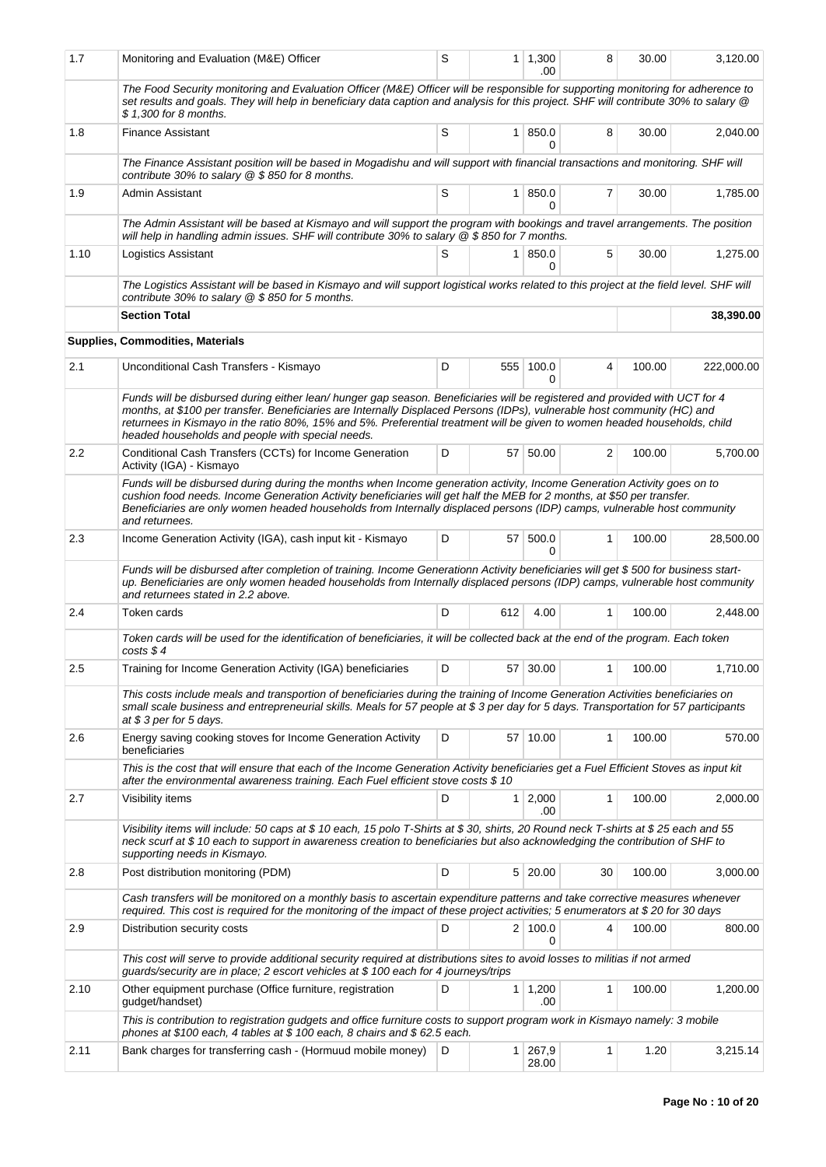| 1.7     | Monitoring and Evaluation (M&E) Officer                                                                                                                                                                                                                                                                                                                                                                                                  | S |     | $1 \mid 1,300$<br>.00   | 8  | 30.00  | 3,120.00   |
|---------|------------------------------------------------------------------------------------------------------------------------------------------------------------------------------------------------------------------------------------------------------------------------------------------------------------------------------------------------------------------------------------------------------------------------------------------|---|-----|-------------------------|----|--------|------------|
|         | The Food Security monitoring and Evaluation Officer (M&E) Officer will be responsible for supporting monitoring for adherence to<br>set results and goals. They will help in beneficiary data caption and analysis for this project. SHF will contribute 30% to salary @<br>\$ 1,300 for 8 months.                                                                                                                                       |   |     |                         |    |        |            |
| 1.8     | <b>Finance Assistant</b>                                                                                                                                                                                                                                                                                                                                                                                                                 | S |     | 1 850.0<br>0            | 8  | 30.00  | 2,040.00   |
|         | The Finance Assistant position will be based in Mogadishu and will support with financial transactions and monitoring. SHF will<br>contribute 30% to salary @ \$850 for 8 months.                                                                                                                                                                                                                                                        |   |     |                         |    |        |            |
| 1.9     | Admin Assistant                                                                                                                                                                                                                                                                                                                                                                                                                          | S |     | 1   850.0<br>0          | 7  | 30.00  | 1,785.00   |
|         | The Admin Assistant will be based at Kismayo and will support the program with bookings and travel arrangements. The position<br>will help in handling admin issues. SHF will contribute 30% to salary $@$ \$850 for 7 months.                                                                                                                                                                                                           |   |     |                         |    |        |            |
| 1.10    | Logistics Assistant                                                                                                                                                                                                                                                                                                                                                                                                                      | S |     | 1 850.0<br>0            | 5  | 30.00  | 1,275.00   |
|         | The Logistics Assistant will be based in Kismayo and will support logistical works related to this project at the field level. SHF will<br>contribute 30% to salary $@$ \$ 850 for 5 months.                                                                                                                                                                                                                                             |   |     |                         |    |        |            |
|         | <b>Section Total</b>                                                                                                                                                                                                                                                                                                                                                                                                                     |   |     |                         |    |        | 38,390.00  |
|         | <b>Supplies, Commodities, Materials</b>                                                                                                                                                                                                                                                                                                                                                                                                  |   |     |                         |    |        |            |
| 2.1     | Unconditional Cash Transfers - Kismayo                                                                                                                                                                                                                                                                                                                                                                                                   | D | 555 | 100.0<br>$\Omega$       | 4  | 100.00 | 222,000.00 |
|         | Funds will be disbursed during either lean/ hunger gap season. Beneficiaries will be registered and provided with UCT for 4<br>months, at \$100 per transfer. Beneficiaries are Internally Displaced Persons (IDPs), vulnerable host community (HC) and<br>returnees in Kismayo in the ratio 80%, 15% and 5%. Preferential treatment will be given to women headed households, child<br>headed households and people with special needs. |   |     |                         |    |        |            |
| $2.2\,$ | Conditional Cash Transfers (CCTs) for Income Generation<br>Activity (IGA) - Kismayo                                                                                                                                                                                                                                                                                                                                                      | D |     | 57 50.00                | 2  | 100.00 | 5,700.00   |
|         | Funds will be disbursed during during the months when Income generation activity, Income Generation Activity goes on to<br>cushion food needs. Income Generation Activity beneficiaries will get half the MEB for 2 months, at \$50 per transfer.<br>Beneficiaries are only women headed households from Internally displaced persons (IDP) camps, vulnerable host community<br>and returnees.                                           |   |     |                         |    |        |            |
| 2.3     | Income Generation Activity (IGA), cash input kit - Kismayo                                                                                                                                                                                                                                                                                                                                                                               | D | 57  | 500.0<br>0              | 1  | 100.00 | 28,500.00  |
|         | Funds will be disbursed after completion of training. Income Generationn Activity beneficiaries will get \$500 for business start-<br>up. Beneficiaries are only women headed households from Internally displaced persons (IDP) camps, vulnerable host community<br>and returnees stated in 2.2 above.                                                                                                                                  |   |     |                         |    |        |            |
| 2.4     | Token cards                                                                                                                                                                                                                                                                                                                                                                                                                              | D | 612 | 4.00                    | 1  | 100.00 | 2.448.00   |
|         | Token cards will be used for the identification of beneficiaries, it will be collected back at the end of the program. Each token<br>$costs$ \$4                                                                                                                                                                                                                                                                                         |   |     |                         |    |        |            |
| 2.5     | Training for Income Generation Activity (IGA) beneficiaries                                                                                                                                                                                                                                                                                                                                                                              | D | 57  | 30.00                   | 1  | 100.00 | 1,710.00   |
|         | This costs include meals and transportion of beneficiaries during the training of Income Generation Activities beneficiaries on<br>small scale business and entrepreneurial skills. Meals for 57 people at \$3 per day for 5 days. Transportation for 57 participants<br>at \$3 per for 5 days.                                                                                                                                          |   |     |                         |    |        |            |
| 2.6     | Energy saving cooking stoves for Income Generation Activity<br>beneficiaries                                                                                                                                                                                                                                                                                                                                                             | D |     | 57 10.00                | 1  | 100.00 | 570.00     |
|         | This is the cost that will ensure that each of the Income Generation Activity beneficiaries get a Fuel Efficient Stoves as input kit<br>after the environmental awareness training. Each Fuel efficient stove costs \$10                                                                                                                                                                                                                 |   |     |                         |    |        |            |
| 2.7     | Visibility items                                                                                                                                                                                                                                                                                                                                                                                                                         | D |     | $1 \, 2,000$<br>.00     | 1  | 100.00 | 2,000.00   |
|         | Visibility items will include: 50 caps at \$ 10 each, 15 polo T-Shirts at \$ 30, shirts, 20 Round neck T-shirts at \$ 25 each and 55<br>neck scurf at \$ 10 each to support in awareness creation to beneficiaries but also acknowledging the contribution of SHF to<br>supporting needs in Kismayo.                                                                                                                                     |   |     |                         |    |        |            |
| 2.8     | Post distribution monitoring (PDM)                                                                                                                                                                                                                                                                                                                                                                                                       | D |     | $5 \mid 20.00$          | 30 | 100.00 | 3,000.00   |
|         | Cash transfers will be monitored on a monthly basis to ascertain expenditure patterns and take corrective measures whenever<br>required. This cost is required for the monitoring of the impact of these project activities; 5 enumerators at \$20 for 30 days                                                                                                                                                                           |   |     |                         |    |        |            |
| 2.9     | Distribution security costs                                                                                                                                                                                                                                                                                                                                                                                                              | D |     | 2 100.0<br>0            | 4  | 100.00 | 800.00     |
|         | This cost will serve to provide additional security required at distributions sites to avoid losses to militias if not armed<br>guards/security are in place; 2 escort vehicles at \$100 each for 4 journeys/trips                                                                                                                                                                                                                       |   |     |                         |    |        |            |
| 2.10    | Other equipment purchase (Office furniture, registration<br>gudget/handset)                                                                                                                                                                                                                                                                                                                                                              | D |     | $1 \mid 1,200$<br>.00   | 1  | 100.00 | 1,200.00   |
|         | This is contribution to registration gudgets and office furniture costs to support program work in Kismayo namely: 3 mobile<br>phones at \$100 each, 4 tables at \$100 each, 8 chairs and \$62.5 each.                                                                                                                                                                                                                                   |   |     |                         |    |        |            |
| 2.11    | Bank charges for transferring cash - (Hormuud mobile money)                                                                                                                                                                                                                                                                                                                                                                              | D |     | $1 \mid 267,9$<br>28.00 | 1  | 1.20   | 3,215.14   |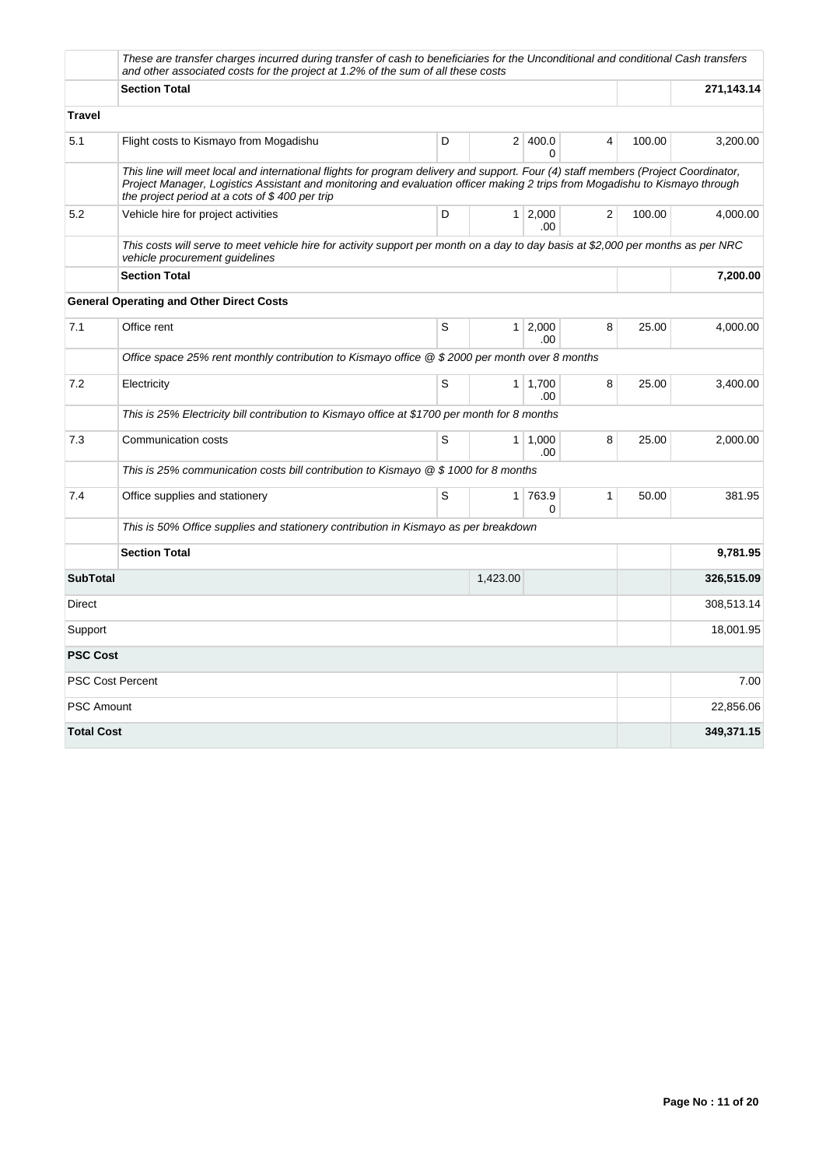|                   | These are transfer charges incurred during transfer of cash to beneficiaries for the Unconditional and conditional Cash transfers<br>and other associated costs for the project at 1.2% of the sum of all these costs                                                                                                |   |                |              |   |        |            |  |  |  |
|-------------------|----------------------------------------------------------------------------------------------------------------------------------------------------------------------------------------------------------------------------------------------------------------------------------------------------------------------|---|----------------|--------------|---|--------|------------|--|--|--|
|                   | <b>Section Total</b>                                                                                                                                                                                                                                                                                                 |   |                |              |   |        | 271,143.14 |  |  |  |
| <b>Travel</b>     |                                                                                                                                                                                                                                                                                                                      |   |                |              |   |        |            |  |  |  |
| 5.1               | Flight costs to Kismayo from Mogadishu                                                                                                                                                                                                                                                                               | D |                | 2 400.0<br>O | 4 | 100.00 | 3,200.00   |  |  |  |
|                   | This line will meet local and international flights for program delivery and support. Four (4) staff members (Project Coordinator,<br>Project Manager, Logistics Assistant and monitoring and evaluation officer making 2 trips from Mogadishu to Kismayo through<br>the project period at a cots of $$400$ per trip |   |                |              |   |        |            |  |  |  |
| 5.2               | Vehicle hire for project activities                                                                                                                                                                                                                                                                                  | D | 1 <sup>1</sup> | 2,000<br>.00 | 2 | 100.00 | 4,000.00   |  |  |  |
|                   | This costs will serve to meet vehicle hire for activity support per month on a day to day basis at \$2,000 per months as per NRC<br>vehicle procurement guidelines                                                                                                                                                   |   |                |              |   |        |            |  |  |  |
|                   | <b>Section Total</b>                                                                                                                                                                                                                                                                                                 |   | 7,200.00       |              |   |        |            |  |  |  |
|                   | <b>General Operating and Other Direct Costs</b>                                                                                                                                                                                                                                                                      |   |                |              |   |        |            |  |  |  |
| 7.1               | Office rent                                                                                                                                                                                                                                                                                                          | S | 1 <sup>1</sup> | 2,000<br>.00 | 8 | 25.00  | 4,000.00   |  |  |  |
|                   | Office space 25% rent monthly contribution to Kismayo office $@$ \$2000 per month over 8 months                                                                                                                                                                                                                      |   |                |              |   |        |            |  |  |  |
| 7.2               | Electricity                                                                                                                                                                                                                                                                                                          | S | 1 <sup>1</sup> | 1,700<br>.00 | 8 | 25.00  | 3,400.00   |  |  |  |
|                   | This is 25% Electricity bill contribution to Kismayo office at \$1700 per month for 8 months                                                                                                                                                                                                                         |   |                |              |   |        |            |  |  |  |
| 7.3               | Communication costs                                                                                                                                                                                                                                                                                                  | S | $\mathbf{1}$   | 1,000<br>.00 | 8 | 25.00  | 2,000.00   |  |  |  |
|                   | This is 25% communication costs bill contribution to Kismayo $@$ \$ 1000 for 8 months                                                                                                                                                                                                                                |   |                |              |   |        |            |  |  |  |
| 7.4               | Office supplies and stationery                                                                                                                                                                                                                                                                                       | S | 1 <sup>1</sup> | 763.9<br>0   | 1 | 50.00  | 381.95     |  |  |  |
|                   | This is 50% Office supplies and stationery contribution in Kismayo as per breakdown                                                                                                                                                                                                                                  |   |                |              |   |        |            |  |  |  |
|                   | <b>Section Total</b>                                                                                                                                                                                                                                                                                                 |   |                |              |   |        | 9,781.95   |  |  |  |
| <b>SubTotal</b>   |                                                                                                                                                                                                                                                                                                                      |   | 1,423.00       |              |   |        | 326,515.09 |  |  |  |
| <b>Direct</b>     |                                                                                                                                                                                                                                                                                                                      |   |                |              |   |        | 308,513.14 |  |  |  |
| Support           |                                                                                                                                                                                                                                                                                                                      |   |                |              |   |        | 18,001.95  |  |  |  |
| <b>PSC Cost</b>   |                                                                                                                                                                                                                                                                                                                      |   |                |              |   |        |            |  |  |  |
|                   | <b>PSC Cost Percent</b>                                                                                                                                                                                                                                                                                              |   |                |              |   |        | 7.00       |  |  |  |
| <b>PSC Amount</b> |                                                                                                                                                                                                                                                                                                                      |   |                |              |   |        | 22,856.06  |  |  |  |
| <b>Total Cost</b> |                                                                                                                                                                                                                                                                                                                      |   |                |              |   |        | 349,371.15 |  |  |  |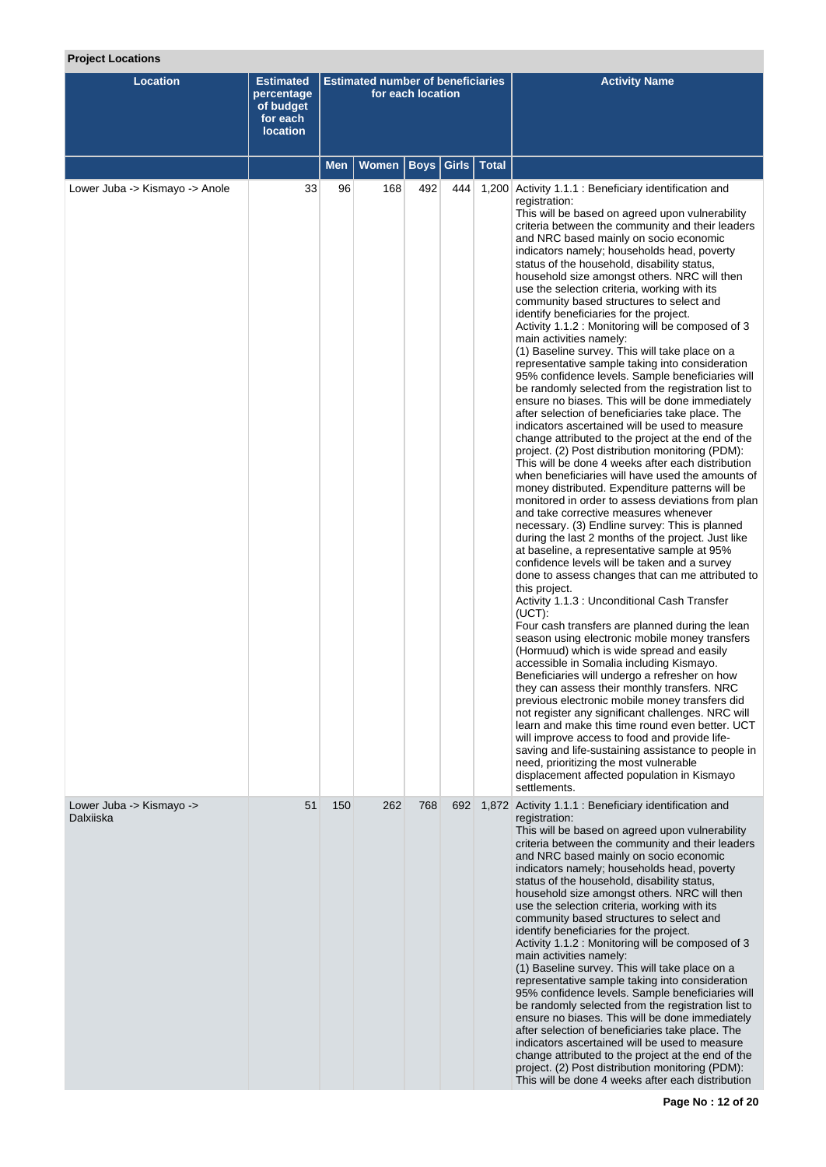# **Project Locations**

| <b>Location</b>                       | <b>Estimated</b><br>percentage<br>of budget<br>for each<br><b>location</b> | <b>Estimated number of beneficiaries</b><br>for each location |              |             |       |              | <b>Activity Name</b>                                                                                                                                                                                                                                                                                                                                                                                                                                                                                                                                                                                                                                                                                                                                                                                                                                                                                                                                                                                                                                                                                                                                                                                                                                                                                                                                                                                                                                                                                                                                                                                                                                                                                                                                                                                                                                                                                                                                                                                                                                                                                                                                                                                                                                                                                                                                    |
|---------------------------------------|----------------------------------------------------------------------------|---------------------------------------------------------------|--------------|-------------|-------|--------------|---------------------------------------------------------------------------------------------------------------------------------------------------------------------------------------------------------------------------------------------------------------------------------------------------------------------------------------------------------------------------------------------------------------------------------------------------------------------------------------------------------------------------------------------------------------------------------------------------------------------------------------------------------------------------------------------------------------------------------------------------------------------------------------------------------------------------------------------------------------------------------------------------------------------------------------------------------------------------------------------------------------------------------------------------------------------------------------------------------------------------------------------------------------------------------------------------------------------------------------------------------------------------------------------------------------------------------------------------------------------------------------------------------------------------------------------------------------------------------------------------------------------------------------------------------------------------------------------------------------------------------------------------------------------------------------------------------------------------------------------------------------------------------------------------------------------------------------------------------------------------------------------------------------------------------------------------------------------------------------------------------------------------------------------------------------------------------------------------------------------------------------------------------------------------------------------------------------------------------------------------------------------------------------------------------------------------------------------------------|
|                                       |                                                                            | <b>Men</b>                                                    | <b>Women</b> | <b>Boys</b> | Girls | <b>Total</b> |                                                                                                                                                                                                                                                                                                                                                                                                                                                                                                                                                                                                                                                                                                                                                                                                                                                                                                                                                                                                                                                                                                                                                                                                                                                                                                                                                                                                                                                                                                                                                                                                                                                                                                                                                                                                                                                                                                                                                                                                                                                                                                                                                                                                                                                                                                                                                         |
| Lower Juba -> Kismayo -> Anole        | 33                                                                         | 96                                                            | 168          | 492         | 444   |              | 1,200 Activity 1.1.1 : Beneficiary identification and<br>registration:<br>This will be based on agreed upon vulnerability<br>criteria between the community and their leaders<br>and NRC based mainly on socio economic<br>indicators namely; households head, poverty<br>status of the household, disability status,<br>household size amongst others. NRC will then<br>use the selection criteria, working with its<br>community based structures to select and<br>identify beneficiaries for the project.<br>Activity 1.1.2 : Monitoring will be composed of 3<br>main activities namely:<br>(1) Baseline survey. This will take place on a<br>representative sample taking into consideration<br>95% confidence levels. Sample beneficiaries will<br>be randomly selected from the registration list to<br>ensure no biases. This will be done immediately<br>after selection of beneficiaries take place. The<br>indicators ascertained will be used to measure<br>change attributed to the project at the end of the<br>project. (2) Post distribution monitoring (PDM):<br>This will be done 4 weeks after each distribution<br>when beneficiaries will have used the amounts of<br>money distributed. Expenditure patterns will be<br>monitored in order to assess deviations from plan<br>and take corrective measures whenever<br>necessary. (3) Endline survey: This is planned<br>during the last 2 months of the project. Just like<br>at baseline, a representative sample at 95%<br>confidence levels will be taken and a survey<br>done to assess changes that can me attributed to<br>this project.<br>Activity 1.1.3 : Unconditional Cash Transfer<br>(UCT):<br>Four cash transfers are planned during the lean<br>season using electronic mobile money transfers<br>(Hormuud) which is wide spread and easily<br>accessible in Somalia including Kismayo.<br>Beneficiaries will undergo a refresher on how<br>they can assess their monthly transfers. NRC<br>previous electronic mobile money transfers did<br>not register any significant challenges. NRC will<br>learn and make this time round even better. UCT<br>will improve access to food and provide life-<br>saving and life-sustaining assistance to people in<br>need, prioritizing the most vulnerable<br>displacement affected population in Kismayo<br>settlements. |
| Lower Juba -> Kismayo -><br>Dalxiiska | 51                                                                         | 150                                                           | 262          | 768         | 692   |              | 1,872 Activity 1.1.1 : Beneficiary identification and<br>registration:<br>This will be based on agreed upon vulnerability<br>criteria between the community and their leaders<br>and NRC based mainly on socio economic<br>indicators namely; households head, poverty<br>status of the household, disability status,<br>household size amongst others. NRC will then<br>use the selection criteria, working with its<br>community based structures to select and<br>identify beneficiaries for the project.                                                                                                                                                                                                                                                                                                                                                                                                                                                                                                                                                                                                                                                                                                                                                                                                                                                                                                                                                                                                                                                                                                                                                                                                                                                                                                                                                                                                                                                                                                                                                                                                                                                                                                                                                                                                                                            |
|                                       |                                                                            |                                                               |              |             |       |              | Activity 1.1.2 : Monitoring will be composed of 3<br>main activities namely:<br>(1) Baseline survey. This will take place on a<br>representative sample taking into consideration<br>95% confidence levels. Sample beneficiaries will<br>be randomly selected from the registration list to<br>ensure no biases. This will be done immediately<br>after selection of beneficiaries take place. The<br>indicators ascertained will be used to measure<br>change attributed to the project at the end of the<br>project. (2) Post distribution monitoring (PDM):<br>This will be done 4 weeks after each distribution                                                                                                                                                                                                                                                                                                                                                                                                                                                                                                                                                                                                                                                                                                                                                                                                                                                                                                                                                                                                                                                                                                                                                                                                                                                                                                                                                                                                                                                                                                                                                                                                                                                                                                                                     |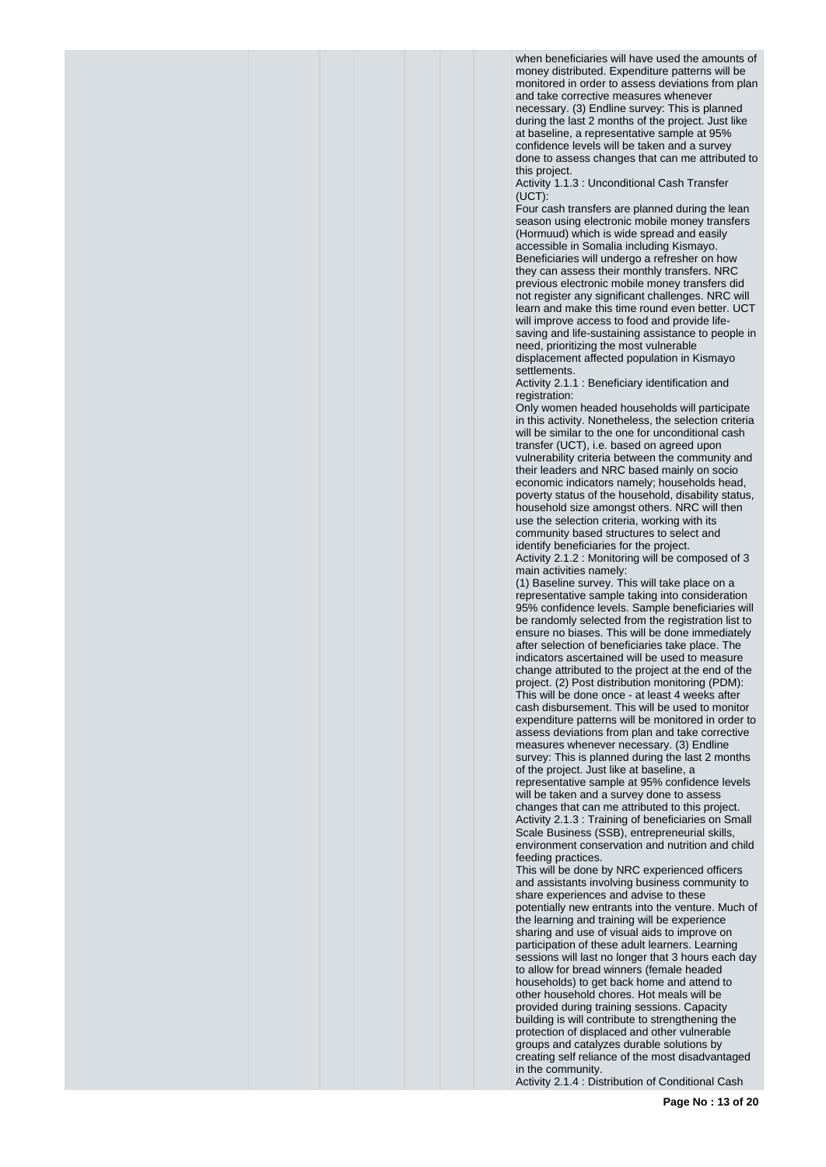when beneficiaries will have used the amounts of money distributed. Expenditure patterns will be monitored in order to assess deviations from plan and take corrective measures whenever necessary. (3) Endline survey: This is planned during the last 2 months of the project. Just like at baseline, a representative sample at 95% confidence levels will be taken and a survey done to assess changes that can me attributed to this project.

Activity 1.1.3 : Unconditional Cash Transfer  $(UCT)$ :

Four cash transfers are planned during the lean season using electronic mobile money transfers (Hormuud) which is wide spread and easily accessible in Somalia including Kismayo. Beneficiaries will undergo a refresher on how they can assess their monthly transfers. NRC previous electronic mobile money transfers did not register any significant challenges. NRC will learn and make this time round even better. UCT will improve access to food and provide lifesaving and life-sustaining assistance to people in need, prioritizing the most vulnerable displacement affected population in Kismayo settlements.

Activity 2.1.1 : Beneficiary identification and registration:

Only women headed households will participate in this activity. Nonetheless, the selection criteria will be similar to the one for unconditional cash transfer (UCT), i.e. based on agreed upon vulnerability criteria between the community and their leaders and NRC based mainly on socio economic indicators namely; households head, poverty status of the household, disability status, household size amongst others. NRC will then use the selection criteria, working with its community based structures to select and identify beneficiaries for the project. Activity 2.1.2 : Monitoring will be composed of 3 main activities namely:

(1) Baseline survey. This will take place on a representative sample taking into consideration 95% confidence levels. Sample beneficiaries will be randomly selected from the registration list to ensure no biases. This will be done immediately after selection of beneficiaries take place. The indicators ascertained will be used to measure change attributed to the project at the end of the project. (2) Post distribution monitoring (PDM): This will be done once - at least 4 weeks after cash disbursement. This will be used to monitor expenditure patterns will be monitored in order to assess deviations from plan and take corrective measures whenever necessary. (3) Endline survey: This is planned during the last 2 months of the project. Just like at baseline, a representative sample at 95% confidence levels will be taken and a survey done to assess changes that can me attributed to this project. Activity 2.1.3 : Training of beneficiaries on Small Scale Business (SSB), entrepreneurial skills, environment conservation and nutrition and child feeding practices.

This will be done by NRC experienced officers and assistants involving business community to share experiences and advise to these potentially new entrants into the venture. Much of the learning and training will be experience sharing and use of visual aids to improve on participation of these adult learners. Learning sessions will last no longer that 3 hours each day to allow for bread winners (female headed households) to get back home and attend to other household chores. Hot meals will be provided during training sessions. Capacity building is will contribute to strengthening the protection of displaced and other vulnerable groups and catalyzes durable solutions by creating self reliance of the most disadvantaged in the community. Activity 2.1.4 : Distribution of Conditional Cash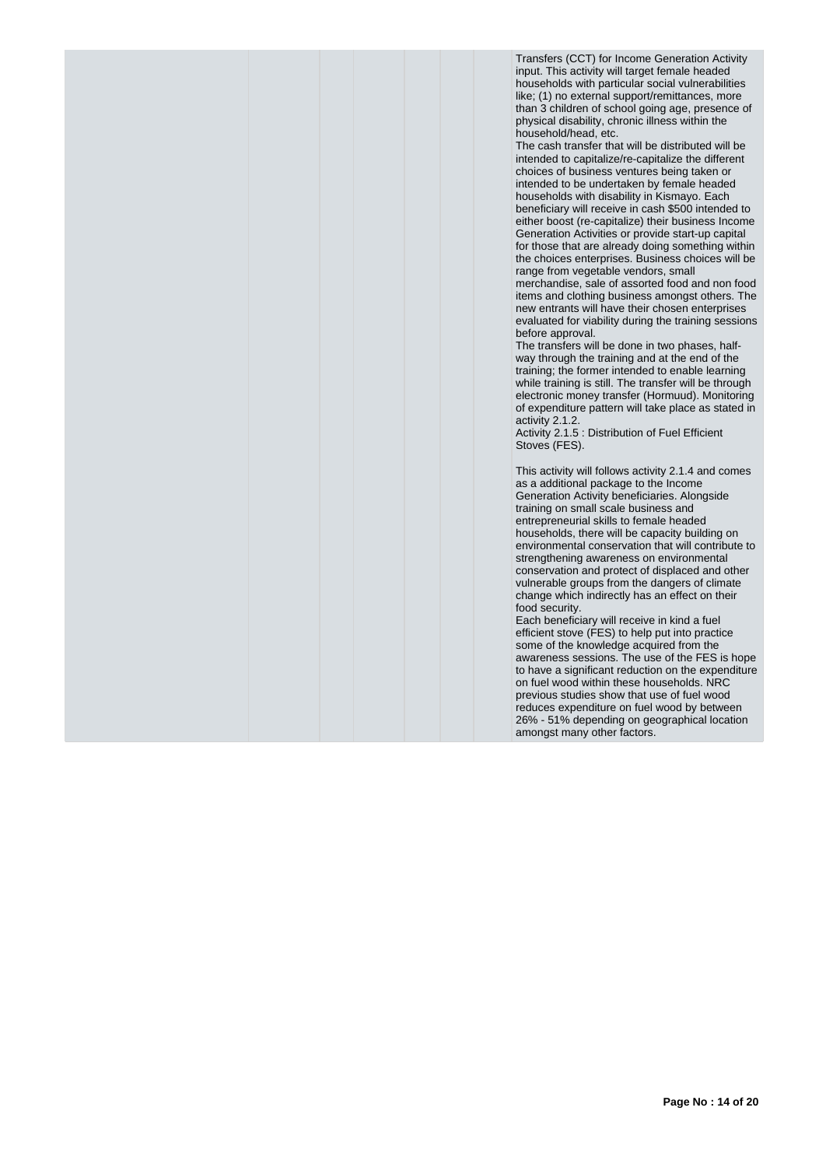Transfers (CCT) for Income Generation Activity input. This activity will target female headed households with particular social vulnerabilities like; (1) no external support/remittances, more than 3 children of school going age, presence of physical disability, chronic illness within the household/head, etc.

The cash transfer that will be distributed will be intended to capitalize/re-capitalize the different choices of business ventures being taken or intended to be undertaken by female headed households with disability in Kismayo. Each beneficiary will receive in cash \$500 intended to either boost (re-capitalize) their business Income Generation Activities or provide start-up capital for those that are already doing something within the choices enterprises. Business choices will be range from vegetable vendors, small

merchandise, sale of assorted food and non food items and clothing business amongst others. The new entrants will have their chosen enterprises evaluated for viability during the training sessions before approval.

The transfers will be done in two phases, halfway through the training and at the end of the training; the former intended to enable learning while training is still. The transfer will be through electronic money transfer (Hormuud). Monitoring of expenditure pattern will take place as stated in activity 2.1.2.

Activity 2.1.5 : Distribution of Fuel Efficient Stoves (FES).

This activity will follows activity 2.1.4 and comes as a additional package to the Income Generation Activity beneficiaries. Alongside training on small scale business and entrepreneurial skills to female headed households, there will be capacity building on environmental conservation that will contribute to strengthening awareness on environmental conservation and protect of displaced and other vulnerable groups from the dangers of climate change which indirectly has an effect on their food security.

Each beneficiary will receive in kind a fuel efficient stove (FES) to help put into practice some of the knowledge acquired from the awareness sessions. The use of the FES is hope to have a significant reduction on the expenditure on fuel wood within these households. NRC previous studies show that use of fuel wood reduces expenditure on fuel wood by between 26% - 51% depending on geographical location amongst many other factors.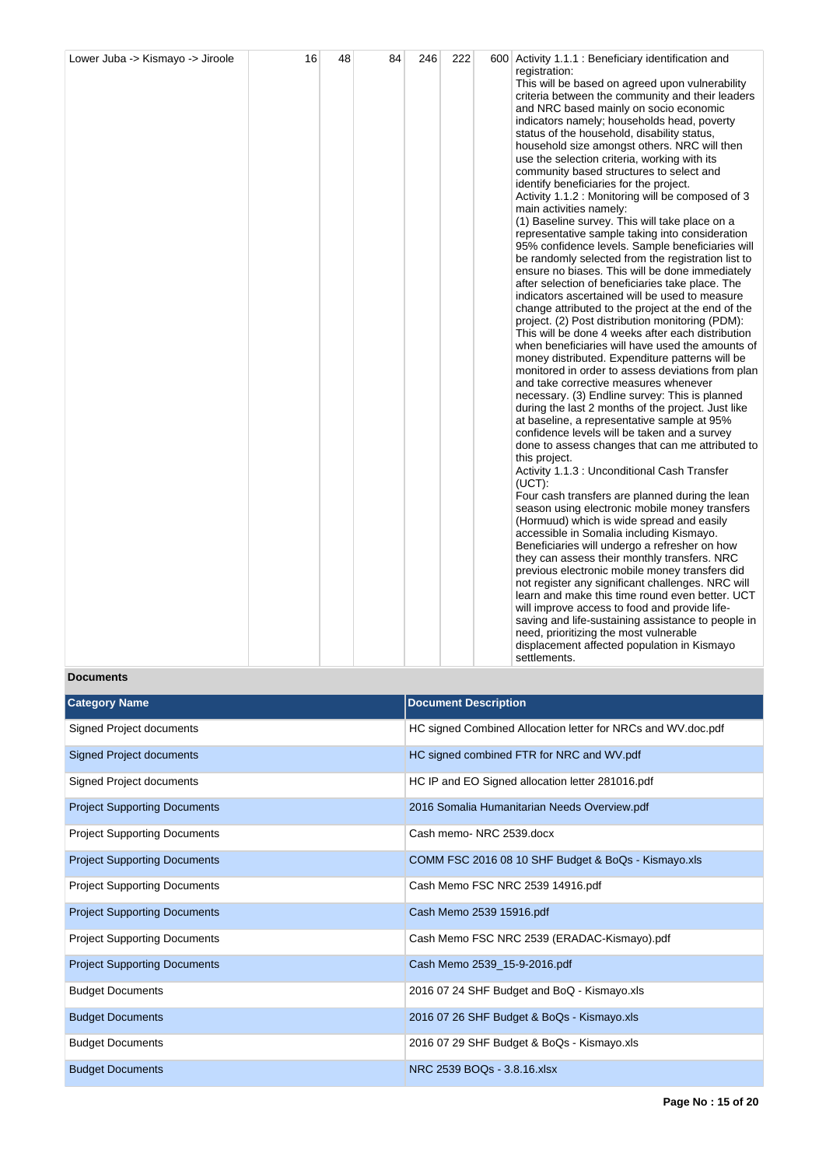| Lower Juba -> Kismayo -> Jiroole | 16 | 48 | 84 | 246 | 222 | 600 Activity 1.1.1 : Beneficiary identification and |
|----------------------------------|----|----|----|-----|-----|-----------------------------------------------------|
|                                  |    |    |    |     |     | registration:                                       |
|                                  |    |    |    |     |     | This will be based on agreed upon vulnerability     |
|                                  |    |    |    |     |     | criteria between the community and their leaders    |
|                                  |    |    |    |     |     | and NRC based mainly on socio economic              |
|                                  |    |    |    |     |     | indicators namely; households head, poverty         |
|                                  |    |    |    |     |     | status of the household, disability status,         |
|                                  |    |    |    |     |     | household size amongst others. NRC will then        |
|                                  |    |    |    |     |     | use the selection criteria, working with its        |
|                                  |    |    |    |     |     | community based structures to select and            |
|                                  |    |    |    |     |     | identify beneficiaries for the project.             |
|                                  |    |    |    |     |     | Activity 1.1.2 : Monitoring will be composed of 3   |
|                                  |    |    |    |     |     | main activities namely:                             |
|                                  |    |    |    |     |     | (1) Baseline survey. This will take place on a      |
|                                  |    |    |    |     |     | representative sample taking into consideration     |
|                                  |    |    |    |     |     | 95% confidence levels. Sample beneficiaries will    |
|                                  |    |    |    |     |     | be randomly selected from the registration list to  |
|                                  |    |    |    |     |     | ensure no biases. This will be done immediately     |
|                                  |    |    |    |     |     | after selection of beneficiaries take place. The    |
|                                  |    |    |    |     |     | indicators ascertained will be used to measure      |
|                                  |    |    |    |     |     | change attributed to the project at the end of the  |
|                                  |    |    |    |     |     | project. (2) Post distribution monitoring (PDM):    |
|                                  |    |    |    |     |     | This will be done 4 weeks after each distribution   |
|                                  |    |    |    |     |     | when beneficiaries will have used the amounts of    |
|                                  |    |    |    |     |     | money distributed. Expenditure patterns will be     |
|                                  |    |    |    |     |     | monitored in order to assess deviations from plan   |
|                                  |    |    |    |     |     | and take corrective measures whenever               |
|                                  |    |    |    |     |     | necessary. (3) Endline survey: This is planned      |
|                                  |    |    |    |     |     | during the last 2 months of the project. Just like  |
|                                  |    |    |    |     |     | at baseline, a representative sample at 95%         |
|                                  |    |    |    |     |     | confidence levels will be taken and a survey        |
|                                  |    |    |    |     |     | done to assess changes that can me attributed to    |
|                                  |    |    |    |     |     | this project.                                       |
|                                  |    |    |    |     |     | Activity 1.1.3 : Unconditional Cash Transfer        |
|                                  |    |    |    |     |     | $(UCT)$ :                                           |
|                                  |    |    |    |     |     | Four cash transfers are planned during the lean     |
|                                  |    |    |    |     |     | season using electronic mobile money transfers      |
|                                  |    |    |    |     |     | (Hormuud) which is wide spread and easily           |
|                                  |    |    |    |     |     | accessible in Somalia including Kismayo.            |
|                                  |    |    |    |     |     | Beneficiaries will undergo a refresher on how       |
|                                  |    |    |    |     |     | they can assess their monthly transfers. NRC        |
|                                  |    |    |    |     |     | previous electronic mobile money transfers did      |
|                                  |    |    |    |     |     | not register any significant challenges. NRC will   |
|                                  |    |    |    |     |     | learn and make this time round even better. UCT     |
|                                  |    |    |    |     |     | will improve access to food and provide life-       |
|                                  |    |    |    |     |     | saving and life-sustaining assistance to people in  |
|                                  |    |    |    |     |     | need, prioritizing the most vulnerable              |
|                                  |    |    |    |     |     | displacement affected population in Kismayo         |
|                                  |    |    |    |     |     | settlements.                                        |

**Documents**

| <b>Category Name</b>                | <b>Document Description</b>                                  |
|-------------------------------------|--------------------------------------------------------------|
| Signed Project documents            | HC signed Combined Allocation letter for NRCs and WV doc.pdf |
| <b>Signed Project documents</b>     | HC signed combined FTR for NRC and WV pdf                    |
| Signed Project documents            | HC IP and EO Signed allocation letter 281016.pdf             |
| <b>Project Supporting Documents</b> | 2016 Somalia Humanitarian Needs Overview.pdf                 |
| <b>Project Supporting Documents</b> | Cash memo-NRC 2539.docx                                      |
| <b>Project Supporting Documents</b> | COMM FSC 2016 08 10 SHF Budget & BoQs - Kismayo.xls          |
| <b>Project Supporting Documents</b> | Cash Memo FSC NRC 2539 14916.pdf                             |
| <b>Project Supporting Documents</b> | Cash Memo 2539 15916.pdf                                     |
| <b>Project Supporting Documents</b> | Cash Memo FSC NRC 2539 (ERADAC-Kismayo).pdf                  |
| <b>Project Supporting Documents</b> | Cash Memo 2539_15-9-2016.pdf                                 |
| <b>Budget Documents</b>             | 2016 07 24 SHF Budget and BoQ - Kismayo.xls                  |
| <b>Budget Documents</b>             | 2016 07 26 SHF Budget & BoQs - Kismayo.xls                   |
| <b>Budget Documents</b>             | 2016 07 29 SHF Budget & BoQs - Kismayo.xls                   |
| <b>Budget Documents</b>             | NRC 2539 BOQs - 3.8.16.xlsx                                  |